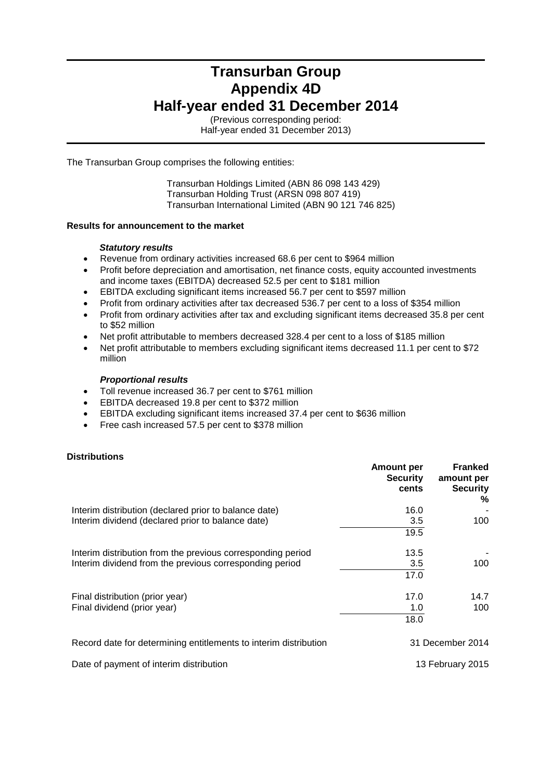## **Transurban Group Appendix 4D Half-year ended 31 December 2014**

(Previous corresponding period: Half-year ended 31 December 2013)

The Transurban Group comprises the following entities:

Transurban Holdings Limited (ABN 86 098 143 429) Transurban Holding Trust (ARSN 098 807 419) Transurban International Limited (ABN 90 121 746 825)

## **Results for announcement to the market**

## *Statutory results*

- Revenue from ordinary activities increased 68.6 per cent to \$964 million
- Profit before depreciation and amortisation, net finance costs, equity accounted investments and income taxes (EBITDA) decreased 52.5 per cent to \$181 million
- EBITDA excluding significant items increased 56.7 per cent to \$597 million
- Profit from ordinary activities after tax decreased 536.7 per cent to a loss of \$354 million
- Profit from ordinary activities after tax and excluding significant items decreased 35.8 per cent to \$52 million
- Net profit attributable to members decreased 328.4 per cent to a loss of \$185 million
- Net profit attributable to members excluding significant items decreased 11.1 per cent to \$72 million

## *Proportional results*

- Toll revenue increased 36.7 per cent to \$761 million
- EBITDA decreased 19.8 per cent to \$372 million
- EBITDA excluding significant items increased 37.4 per cent to \$636 million
- Free cash increased 57.5 per cent to \$378 million

## **Distributions**

|                                                                  | <b>Amount per</b><br><b>Security</b><br>cents | <b>Franked</b><br>amount per<br><b>Security</b><br>℅ |
|------------------------------------------------------------------|-----------------------------------------------|------------------------------------------------------|
| Interim distribution (declared prior to balance date)            | 16.0                                          |                                                      |
| Interim dividend (declared prior to balance date)                | 3.5                                           | 100                                                  |
|                                                                  | 19.5                                          |                                                      |
| Interim distribution from the previous corresponding period      | 13.5                                          |                                                      |
| Interim dividend from the previous corresponding period          | 3.5                                           | 100                                                  |
|                                                                  | 17.0                                          |                                                      |
| Final distribution (prior year)                                  | 17.0                                          | 14.7                                                 |
| Final dividend (prior year)                                      | 1.0                                           | 100                                                  |
|                                                                  | 18.0                                          |                                                      |
| Record date for determining entitlements to interim distribution |                                               | 31 December 2014                                     |
| Date of payment of interim distribution                          |                                               | 13 February 2015                                     |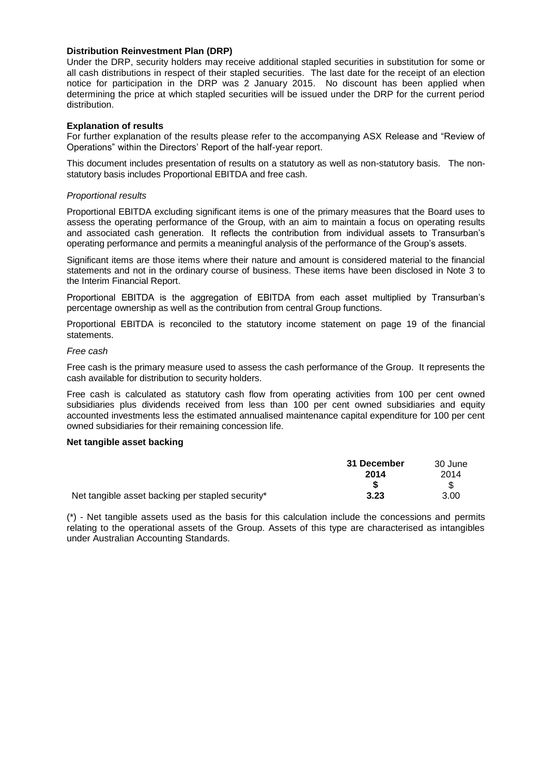## **Distribution Reinvestment Plan (DRP)**

Under the DRP, security holders may receive additional stapled securities in substitution for some or all cash distributions in respect of their stapled securities. The last date for the receipt of an election notice for participation in the DRP was 2 January 2015. No discount has been applied when determining the price at which stapled securities will be issued under the DRP for the current period distribution.

## **Explanation of results**

For further explanation of the results please refer to the accompanying ASX Release and "Review of Operations" within the Directors' Report of the half-year report.

This document includes presentation of results on a statutory as well as non-statutory basis. The nonstatutory basis includes Proportional EBITDA and free cash.

## *Proportional results*

Proportional EBITDA excluding significant items is one of the primary measures that the Board uses to assess the operating performance of the Group, with an aim to maintain a focus on operating results and associated cash generation. It reflects the contribution from individual assets to Transurban's operating performance and permits a meaningful analysis of the performance of the Group's assets.

Significant items are those items where their nature and amount is considered material to the financial statements and not in the ordinary course of business. These items have been disclosed in Note 3 to the Interim Financial Report.

Proportional EBITDA is the aggregation of EBITDA from each asset multiplied by Transurban's percentage ownership as well as the contribution from central Group functions.

Proportional EBITDA is reconciled to the statutory income statement on page 19 of the financial statements.

## *Free cash*

Free cash is the primary measure used to assess the cash performance of the Group. It represents the cash available for distribution to security holders.

Free cash is calculated as statutory cash flow from operating activities from 100 per cent owned subsidiaries plus dividends received from less than 100 per cent owned subsidiaries and equity accounted investments less the estimated annualised maintenance capital expenditure for 100 per cent owned subsidiaries for their remaining concession life.

## **Net tangible asset backing**

|                                                  | 31 December | 30 June |
|--------------------------------------------------|-------------|---------|
|                                                  | 2014        | 2014    |
|                                                  |             |         |
| Net tangible asset backing per stapled security* | 3.23        | 3.00    |

(\*) - Net tangible assets used as the basis for this calculation include the concessions and permits relating to the operational assets of the Group. Assets of this type are characterised as intangibles under Australian Accounting Standards.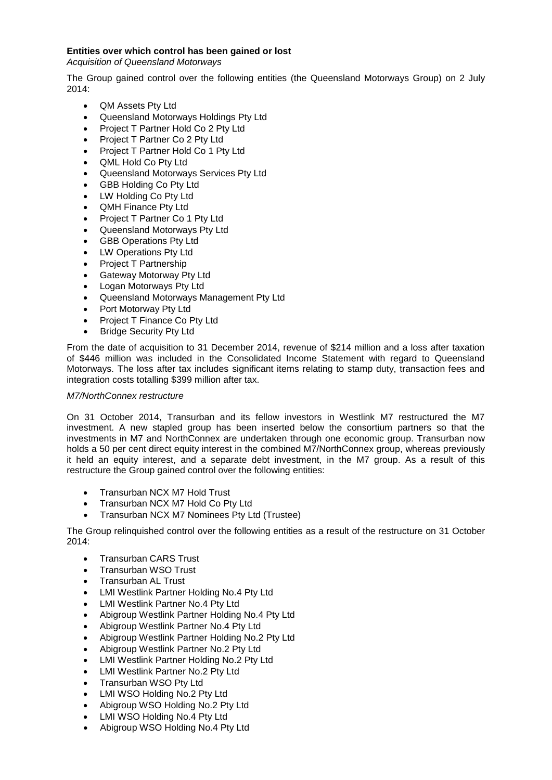## **Entities over which control has been gained or lost**

*Acquisition of Queensland Motorways*

The Group gained control over the following entities (the Queensland Motorways Group) on 2 July 2014:

- QM Assets Pty Ltd
- Queensland Motorways Holdings Pty Ltd
- Project T Partner Hold Co 2 Pty Ltd
- Project T Partner Co 2 Pty Ltd
- Project T Partner Hold Co 1 Pty Ltd
- QML Hold Co Pty Ltd
- Queensland Motorways Services Pty Ltd
- GBB Holding Co Pty Ltd
- LW Holding Co Pty Ltd
- QMH Finance Pty Ltd
- Project T Partner Co 1 Pty Ltd
- Queensland Motorways Pty Ltd
- GBB Operations Pty Ltd
- LW Operations Pty Ltd
- Project T Partnership
- Gateway Motorway Pty Ltd
- Logan Motorways Pty Ltd
- Queensland Motorways Management Pty Ltd
- Port Motorway Pty Ltd
- Project T Finance Co Pty Ltd
- Bridge Security Pty Ltd

From the date of acquisition to 31 December 2014, revenue of \$214 million and a loss after taxation of \$446 million was included in the Consolidated Income Statement with regard to Queensland Motorways. The loss after tax includes significant items relating to stamp duty, transaction fees and integration costs totalling \$399 million after tax.

## *M7/NorthConnex restructure*

On 31 October 2014, Transurban and its fellow investors in Westlink M7 restructured the M7 investment. A new stapled group has been inserted below the consortium partners so that the investments in M7 and NorthConnex are undertaken through one economic group. Transurban now holds a 50 per cent direct equity interest in the combined M7/NorthConnex group, whereas previously it held an equity interest, and a separate debt investment, in the M7 group. As a result of this restructure the Group gained control over the following entities:

- Transurban NCX M7 Hold Trust
- Transurban NCX M7 Hold Co Pty Ltd
- Transurban NCX M7 Nominees Pty Ltd (Trustee)

The Group relinquished control over the following entities as a result of the restructure on 31 October 2014:

- Transurban CARS Trust
- Transurban WSO Trust
- Transurban AL Trust
- LMI Westlink Partner Holding No.4 Pty Ltd
- LMI Westlink Partner No.4 Pty Ltd
- Abigroup Westlink Partner Holding No.4 Pty Ltd
- Abigroup Westlink Partner No.4 Pty Ltd
- Abigroup Westlink Partner Holding No.2 Pty Ltd
- Abigroup Westlink Partner No.2 Pty Ltd
- LMI Westlink Partner Holding No.2 Pty Ltd
- LMI Westlink Partner No.2 Pty Ltd
- Transurban WSO Pty Ltd
- LMI WSO Holding No.2 Pty Ltd
- Abigroup WSO Holding No.2 Pty Ltd
- LMI WSO Holding No.4 Pty Ltd
- Abigroup WSO Holding No.4 Pty Ltd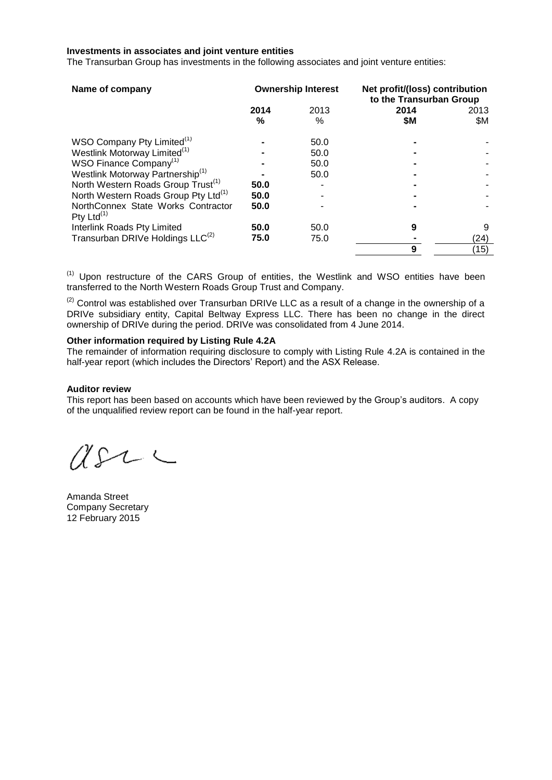#### **Investments in associates and joint venture entities**

The Transurban Group has investments in the following associates and joint venture entities:

| Name of company                                     |           | <b>Ownership Interest</b> | Net profit/(loss) contribution<br>to the Transurban Group |             |
|-----------------------------------------------------|-----------|---------------------------|-----------------------------------------------------------|-------------|
|                                                     | 2014<br>℅ | 2013<br>%                 | 2014<br>\$M                                               | 2013<br>\$Μ |
| WSO Company Pty Limited <sup>(1)</sup>              |           | 50.0                      |                                                           |             |
| Westlink Motorway Limited <sup>(1)</sup>            |           | 50.0                      |                                                           |             |
| WSO Finance Company <sup>(1)</sup>                  |           | 50.0                      |                                                           |             |
| Westlink Motorway Partnership <sup>(1)</sup>        |           | 50.0                      |                                                           |             |
| North Western Roads Group Trust <sup>(1)</sup>      | 50.0      |                           |                                                           |             |
| North Western Roads Group Pty Ltd <sup>(1)</sup>    | 50.0      |                           |                                                           |             |
| NorthConnex State Works Contractor<br>Pty Ltd $(1)$ | 50.0      |                           |                                                           |             |
| Interlink Roads Pty Limited                         | 50.0      | 50.0                      | 9                                                         | 9           |
| Transurban DRIVe Holdings LLC <sup>(2)</sup>        | 75.0      | 75.0                      |                                                           | (24)        |
|                                                     |           |                           | 9                                                         | (15)        |

 $<sup>(1)</sup>$  Upon restructure of the CARS Group of entities, the Westlink and WSO entities have been</sup> transferred to the North Western Roads Group Trust and Company.

 $(2)$  Control was established over Transurban DRIVe LLC as a result of a change in the ownership of a DRIVe subsidiary entity, Capital Beltway Express LLC. There has been no change in the direct ownership of DRIVe during the period. DRIVe was consolidated from 4 June 2014.

## **Other information required by Listing Rule 4.2A**

The remainder of information requiring disclosure to comply with Listing Rule 4.2A is contained in the half-year report (which includes the Directors' Report) and the ASX Release.

#### **Auditor review**

This report has been based on accounts which have been reviewed by the Group's auditors. A copy of the unqualified review report can be found in the half-year report.

 $U222$ 

Amanda Street Company Secretary 12 February 2015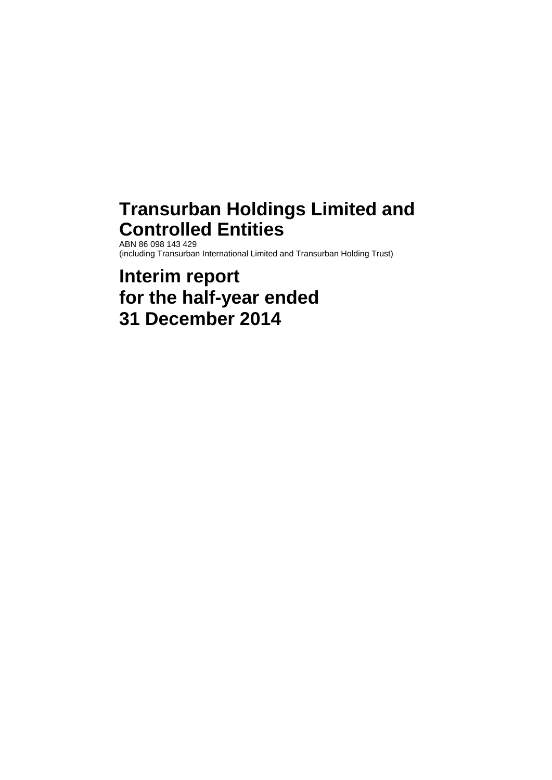# **Transurban Holdings Limited and Controlled Entities**

ABN 86 098 143 429 (including Transurban International Limited and Transurban Holding Trust)

# **Interim report for the half-year ended 31 December 2014**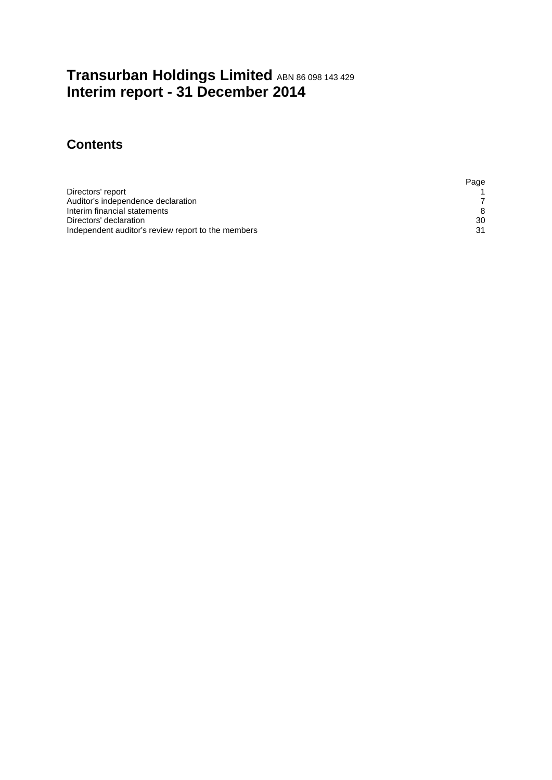## **Transurban Holdings Limited** ABN <sup>86</sup> <sup>098</sup> <sup>143</sup> <sup>429</sup> **Interim report - 31 December 2014**

## **Contents**

|                                                    | Page |
|----------------------------------------------------|------|
| Directors' report                                  |      |
| Auditor's independence declaration                 |      |
| Interim financial statements                       | 8    |
| Directors' declaration                             | 30   |
| Independent auditor's review report to the members | -21  |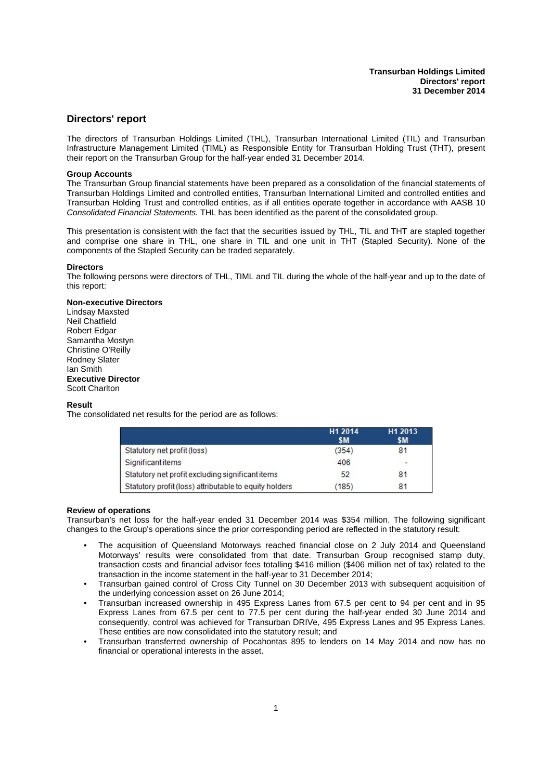## <span id="page-6-0"></span>**Directors' report**

The directors of Transurban Holdings Limited (THL), Transurban International Limited (TIL) and Transurban Infrastructure Management Limited (TIML) as Responsible Entity for Transurban Holding Trust (THT), present their report on the Transurban Group for the half-year ended 31 December 2014.

#### **Group Accounts**

The Transurban Group financial statements have been prepared as a consolidation of the financial statements of Transurban Holdings Limited and controlled entities, Transurban International Limited and controlled entities and Transurban Holding Trust and controlled entities, as if all entities operate together in accordance with AASB 10 *Consolidated Financial Statements.* THL has been identified as the parent of the consolidated group.

This presentation is consistent with the fact that the securities issued by THL, TIL and THT are stapled together and comprise one share in THL, one share in TIL and one unit in THT (Stapled Security). None of the components of the Stapled Security can be traded separately.

#### **Directors**

The following persons were directors of THL, TIML and TIL during the whole of the half-year and up to the date of this report:

#### **Non-executive Directors**

Lindsay Maxsted Neil Chatfield Robert Edgar Samantha Mostyn Christine O'Reilly Rodney Slater Ian Smith **Executive Director** Scott Charlton

#### **Result**

The consolidated net results for the period are as follows:

|                                                        | H <sub>1</sub> 2014<br>\$M | H <sub>1</sub> 2013<br>\$M |
|--------------------------------------------------------|----------------------------|----------------------------|
| Statutory net profit (loss)                            | (354)                      | 81                         |
| <b>Significant items</b>                               | 406                        | -                          |
| Statutory net profit excluding significant items       | 52                         | 81                         |
| Statutory profit (loss) attributable to equity holders | (185)                      | 81                         |

#### **Review of operations**

Transurban's net loss for the half-year ended 31 December 2014 was \$354 million. The following significant changes to the Group's operations since the prior corresponding period are reflected in the statutory result:

- The acquisition of Queensland Motorways reached financial close on 2 July 2014 and Queensland Motorways' results were consolidated from that date. Transurban Group recognised stamp duty, transaction costs and financial advisor fees totalling \$416 million (\$406 million net of tax) related to the transaction in the income statement in the half-year to 31 December 2014;
- Transurban gained control of Cross City Tunnel on 30 December 2013 with subsequent acquisition of the underlying concession asset on 26 June 2014;
- Transurban increased ownership in 495 Express Lanes from 67.5 per cent to 94 per cent and in 95 Express Lanes from 67.5 per cent to 77.5 per cent during the half-year ended 30 June 2014 and consequently, control was achieved for Transurban DRIVe, 495 Express Lanes and 95 Express Lanes. These entities are now consolidated into the statutory result; and
- Transurban transferred ownership of Pocahontas 895 to lenders on 14 May 2014 and now has no financial or operational interests in the asset.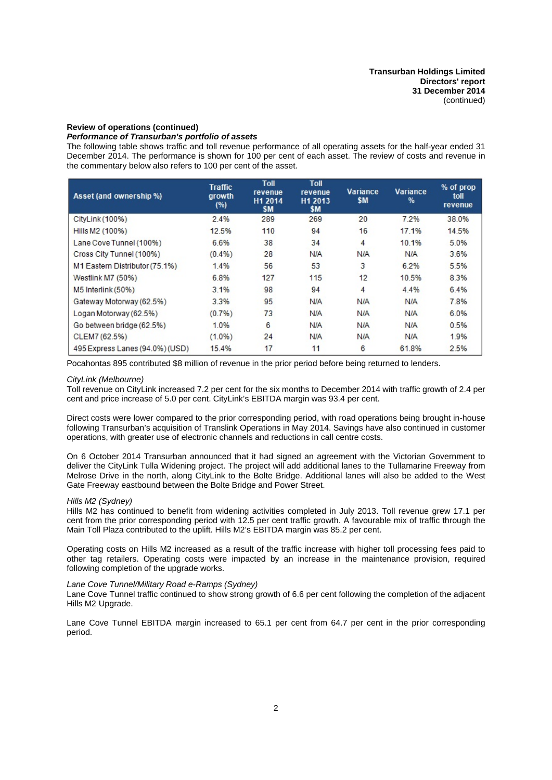#### **Review of operations (continued)**

### *Performance of Transurban's portfolio of assets*

The following table shows traffic and toll revenue performance of all operating assets for the half-year ended 31 December 2014. The performance is shown for 100 per cent of each asset. The review of costs and revenue in the commentary below also refers to 100 per cent of the asset.

| Asset (and ownership %)         | <b>Traffic</b><br>growth<br>(%) | Toll<br>revenue<br>H1 2014<br>\$M | Toll<br>revenue<br>H <sub>1</sub> 2013<br>\$M | Variance<br>\$M | Variance<br>% | % of prop<br>toll<br>revenue |
|---------------------------------|---------------------------------|-----------------------------------|-----------------------------------------------|-----------------|---------------|------------------------------|
| CityLink (100%)                 | 2.4%                            | 289                               | 269                                           | 20              | 7.2%          | 38.0%                        |
| Hills M2 (100%)                 | 12.5%                           | 110                               | 94                                            | 16              | 17.1%         | 14.5%                        |
| Lane Cove Tunnel (100%)         | 6.6%                            | 38                                | 34                                            | 4               | 10.1%         | 5.0%                         |
| Cross City Tunnel (100%)        | (0.4%)                          | 28                                | N/A                                           | N/A             | N/A           | 3.6%                         |
| M1 Eastern Distributor (75.1%)  | 1.4%                            | 56                                | 53                                            | 3               | 6.2%          | 5.5%                         |
| Westlink M7 (50%)               | 6.8%                            | 127                               | 115                                           | 12              | 10.5%         | 8.3%                         |
| M5 Interlink (50%)              | 3.1%                            | 98                                | 94                                            | 4               | 4.4%          | 6.4%                         |
| Gateway Motorway (62.5%)        | 3.3%                            | 95                                | N/A                                           | N/A             | <b>N/A</b>    | 7.8%                         |
| Logan Motorway (62.5%)          | (0.7%)                          | 73                                | N/A                                           | N/A             | <b>N/A</b>    | 6.0%                         |
| Go between bridge (62.5%)       | 1.0%                            | 6                                 | N/A                                           | N/A             | N/A           | 0.5%                         |
| CLEM7 (62.5%)                   | $(1.0\%)$                       | 24                                | N/A                                           | N/A             | N/A           | 1.9%                         |
| 495 Express Lanes (94.0%) (USD) | 15.4%                           | 17                                | 11                                            | 6               | 61.8%         | 2.5%                         |

Pocahontas 895 contributed \$8 million of revenue in the prior period before being returned to lenders.

#### *CityLink (Melbourne)*

Toll revenue on CityLink increased 7.2 per cent for the six months to December 2014 with traffic growth of 2.4 per cent and price increase of 5.0 per cent. CityLink's EBITDA margin was 93.4 per cent.

Direct costs were lower compared to the prior corresponding period, with road operations being brought in-house following Transurban's acquisition of Translink Operations in May 2014. Savings have also continued in customer operations, with greater use of electronic channels and reductions in call centre costs.

On 6 October 2014 Transurban announced that it had signed an agreement with the Victorian Government to deliver the CityLink Tulla Widening project. The project will add additional lanes to the Tullamarine Freewav from Melrose Drive in the north, along CityLink to the Bolte Bridge. Additional lanes will also be added to the West Gate Freeway eastbound between the Bolte Bridge and Power Street.

#### *Hills M2 (Sydney)*

Hills M2 has continued to benefit from widening activities completed in July 2013. Toll revenue grew 17.1 per cent from the prior corresponding period with 12.5 per cent traffic growth. A favourable mix of traffic through the Main Toll Plaza contributed to the uplift. Hills M2's EBITDA margin was 85.2 per cent.

Operating costs on Hills M2 increased as a result of the traffic increase with higher toll processing fees paid to other tag retailers. Operating costs were impacted by an increase in the maintenance provision, required following completion of the upgrade works.

#### *Lane Cove Tunnel/Military Road e-Ramps (Sydney)*

Lane Cove Tunnel traffic continued to show strong growth of 6.6 per cent following the completion of the adjacent Hills M2 Upgrade.

Lane Cove Tunnel EBITDA margin increased to 65.1 per cent from 64.7 per cent in the prior corresponding period.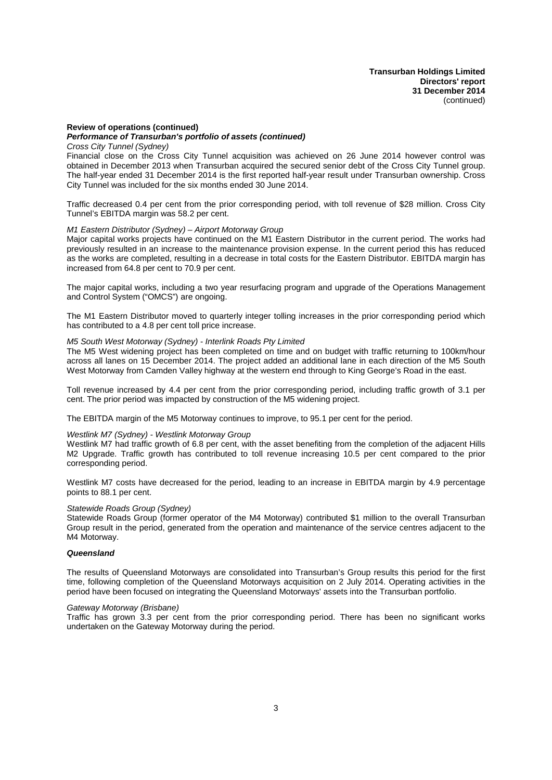## **Review of operations (continued)**

## *Performance of Transurban's portfolio of assets (continued)*

*Cross City Tunnel (Sydney)*

Financial close on the Cross City Tunnel acquisition was achieved on 26 June 2014 however control was obtained in December 2013 when Transurban acquired the secured senior debt of the Cross City Tunnel group. The half-year ended 31 December 2014 is the first reported half-year result under Transurban ownership. Cross City Tunnel was included for the six months ended 30 June 2014.

Traffic decreased 0.4 per cent from the prior corresponding period, with toll revenue of \$28 million. Cross City Tunnel's EBITDA margin was 58.2 per cent.

## *M1 Eastern Distributor (Sydney) – Airport Motorway Group*

Major capital works projects have continued on the M1 Eastern Distributor in the current period. The works had previously resulted in an increase to the maintenance provision expense. In the current period this has reduced as the works are completed, resulting in a decrease in total costs for the Eastern Distributor. EBITDA margin has increased from 64.8 per cent to 70.9 per cent.

The major capital works, including a two year resurfacing program and upgrade of the Operations Management and Control System ("OMCS") are ongoing.

The M1 Eastern Distributor moved to quarterly integer tolling increases in the prior corresponding period which has contributed to a 4.8 per cent toll price increase.

#### *M5 South West Motorway (Sydney) - Interlink Roads Pty Limited*

The M5 West widening project has been completed on time and on budget with traffic returning to 100km/hour across all lanes on 15 December 2014. The project added an additional lane in each direction of the M5 South West Motorway from Camden Valley highway at the western end through to King George's Road in the east.

Toll revenue increased by 4.4 per cent from the prior corresponding period, including traffic growth of 3.1 per cent. The prior period was impacted by construction of the M5 widening project.

The EBITDA margin of the M5 Motorway continues to improve, to 95.1 per cent for the period.

#### *Westlink M7 (Sydney) - Westlink Motorway Group*

Westlink M7 had traffic growth of 6.8 per cent, with the asset benefiting from the completion of the adjacent Hills M2 Upgrade. Traffic growth has contributed to toll revenue increasing 10.5 per cent compared to the prior corresponding period.

Westlink M7 costs have decreased for the period, leading to an increase in EBITDA margin by 4.9 percentage points to 88.1 per cent.

#### *Statewide Roads Group (Sydney)*

Statewide Roads Group (former operator of the M4 Motorway) contributed \$1 million to the overall Transurban Group result in the period, generated from the operation and maintenance of the service centres adjacent to the M4 Motorway.

#### *Queensland*

The results of Queensland Motorways are consolidated into Transurban's Group results this period for the first time, following completion of the Queensland Motorways acquisition on 2 July 2014. Operating activities in the period have been focused on integrating the Queensland Motorways' assets into the Transurban portfolio.

#### *Gateway Motorway (Brisbane)*

Traffic has grown 3.3 per cent from the prior corresponding period. There has been no significant works undertaken on the Gateway Motorway during the period.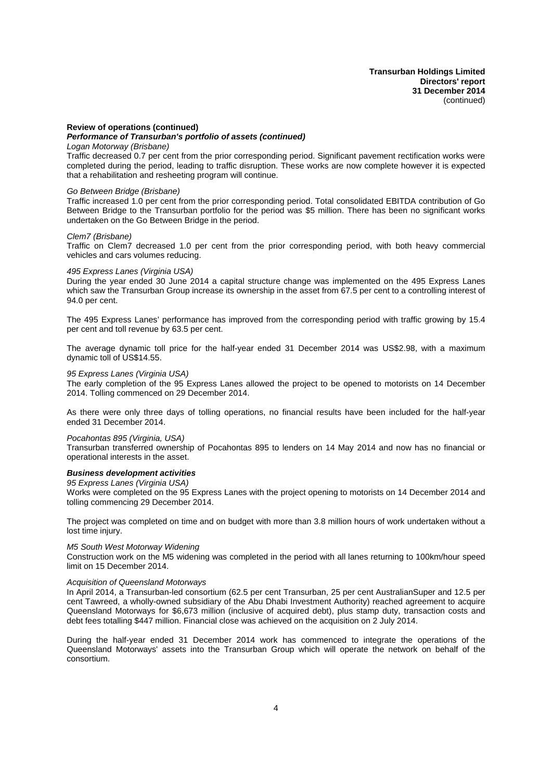## **Review of operations (continued)**

## *Performance of Transurban's portfolio of assets (continued)*

*Logan Motorway (Brisbane)*

Traffic decreased 0.7 per cent from the prior corresponding period. Significant pavement rectification works were completed during the period, leading to traffic disruption. These works are now complete however it is expected that a rehabilitation and resheeting program will continue.

#### *Go Between Bridge (Brisbane)*

Traffic increased 1.0 per cent from the prior corresponding period. Total consolidated EBITDA contribution of Go Between Bridge to the Transurban portfolio for the period was \$5 million. There has been no significant works undertaken on the Go Between Bridge in the period.

#### *Clem7 (Brisbane)*

Traffic on Clem7 decreased 1.0 per cent from the prior corresponding period, with both heavy commercial vehicles and cars volumes reducing.

#### *495 Express Lanes (Virginia USA)*

During the year ended 30 June 2014 a capital structure change was implemented on the 495 Express Lanes which saw the Transurban Group increase its ownership in the asset from 67.5 per cent to a controlling interest of 94.0 per cent.

The 495 Express Lanes' performance has improved from the corresponding period with traffic growing by 15.4 per cent and toll revenue by 63.5 per cent.

The average dynamic toll price for the half-year ended 31 December 2014 was US\$2.98, with a maximum dynamic toll of US\$14.55.

#### *95 Express Lanes (Virginia USA)*

The early completion of the 95 Express Lanes allowed the project to be opened to motorists on 14 December 2014. Tolling commenced on 29 December 2014.

As there were only three days of tolling operations, no financial results have been included for the half-year ended 31 December 2014.

#### *Pocahontas 895 (Virginia, USA)*

Transurban transferred ownership of Pocahontas 895 to lenders on 14 May 2014 and now has no financial or operational interests in the asset.

#### *Business development activities*

*95 Express Lanes (Virginia USA)*

Works were completed on the 95 Express Lanes with the project opening to motorists on 14 December 2014 and tolling commencing 29 December 2014.

The project was completed on time and on budget with more than 3.8 million hours of work undertaken without a lost time injury.

#### *M5 South West Motorway Widening*

Construction work on the M5 widening was completed in the period with all lanes returning to 100km/hour speed limit on 15 December 2014.

#### *Acquisition of Queensland Motorways*

In April 2014, a Transurban-led consortium (62.5 per cent Transurban, 25 per cent AustralianSuper and 12.5 per cent Tawreed, a wholly-owned subsidiary of the Abu Dhabi Investment Authority) reached agreement to acquire Queensland Motorways for \$6,673 million (inclusive of acquired debt), plus stamp duty, transaction costs and debt fees totalling \$447 million. Financial close was achieved on the acquisition on 2 July 2014.

During the half-year ended 31 December 2014 work has commenced to integrate the operations of the Queensland Motorways' assets into the Transurban Group which will operate the network on behalf of the consortium.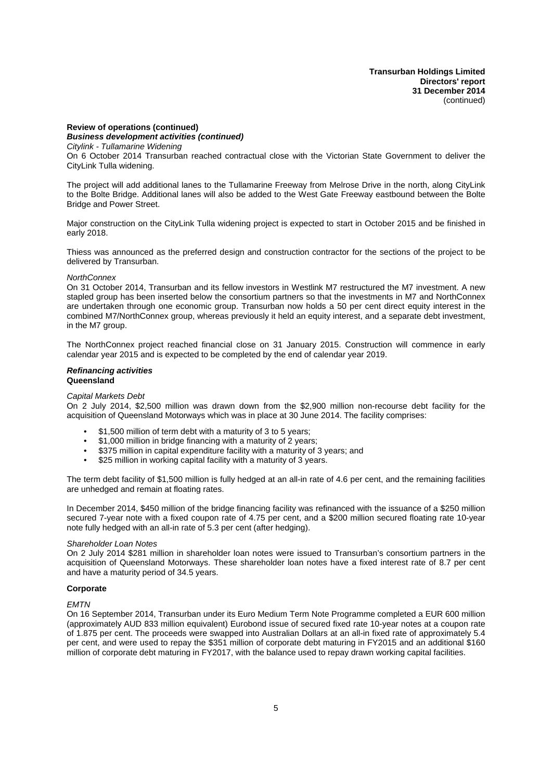**Transurban Holdings Limited Directors' report 31 December 2014** (continued)

#### **Review of operations (continued)** *Business development activities (continued)*

*Citylink - Tullamarine Widening*

On 6 October 2014 Transurban reached contractual close with the Victorian State Government to deliver the CityLink Tulla widening.

The project will add additional lanes to the Tullamarine Freeway from Melrose Drive in the north, along CityLink to the Bolte Bridge. Additional lanes will also be added to the West Gate Freeway eastbound between the Bolte Bridge and Power Street.

Major construction on the CityLink Tulla widening project is expected to start in October 2015 and be finished in early 2018.

Thiess was announced as the preferred design and construction contractor for the sections of the project to be delivered by Transurban.

#### *NorthConnex*

On 31 October 2014, Transurban and its fellow investors in Westlink M7 restructured the M7 investment. A new stapled group has been inserted below the consortium partners so that the investments in M7 and NorthConnex are undertaken through one economic group. Transurban now holds a 50 per cent direct equity interest in the combined M7/NorthConnex group, whereas previously it held an equity interest, and a separate debt investment, in the M7 group.

The NorthConnex project reached financial close on 31 January 2015. Construction will commence in early calendar year 2015 and is expected to be completed by the end of calendar year 2019.

#### *Refinancing activities* **Queensland**

#### *Capital Markets Debt*

On 2 July 2014, \$2,500 million was drawn down from the \$2,900 million non-recourse debt facility for the acquisition of Queensland Motorways which was in place at 30 June 2014. The facility comprises:

- \$1,500 million of term debt with a maturity of 3 to 5 years;
- \$1,000 million in bridge financing with a maturity of 2 years;
- \$375 million in capital expenditure facility with a maturity of 3 years; and
- \$25 million in working capital facility with a maturity of 3 years.

The term debt facility of \$1,500 million is fully hedged at an all-in rate of 4.6 per cent, and the remaining facilities are unhedged and remain at floating rates.

In December 2014, \$450 million of the bridge financing facility was refinanced with the issuance of a \$250 million secured 7-year note with a fixed coupon rate of 4.75 per cent, and a \$200 million secured floating rate 10-year note fully hedged with an all-in rate of 5.3 per cent (after hedging).

#### *Shareholder Loan Notes*

On 2 July 2014 \$281 million in shareholder loan notes were issued to Transurban's consortium partners in the acquisition of Queensland Motorways. These shareholder loan notes have a fixed interest rate of 8.7 per cent and have a maturity period of 34.5 years.

#### **Corporate**

#### *EMTN*

On 16 September 2014, Transurban under its Euro Medium Term Note Programme completed a EUR 600 million (approximately AUD 833 million equivalent) Eurobond issue of secured fixed rate 10-year notes at a coupon rate of 1.875 per cent. The proceeds were swapped into Australian Dollars at an all-in fixed rate of approximately 5.4 per cent, and were used to repay the \$351 million of corporate debt maturing in FY2015 and an additional \$160 million of corporate debt maturing in FY2017, with the balance used to repay drawn working capital facilities.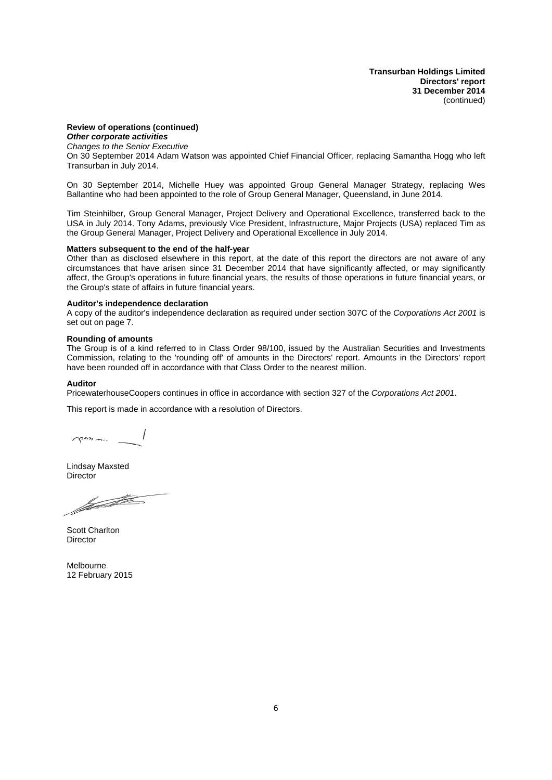**Transurban Holdings Limited Directors' report 31 December 2014** (continued)

## **Review of operations (continued)**

*Other corporate activities Changes to the Senior Executive* On 30 September 2014 Adam Watson was appointed Chief Financial Officer, replacing Samantha Hogg who left Transurban in July 2014.

On 30 September 2014, Michelle Huey was appointed Group General Manager Strategy, replacing Wes Ballantine who had been appointed to the role of Group General Manager, Queensland, in June 2014.

Tim Steinhilber, Group General Manager, Project Delivery and Operational Excellence, transferred back to the USA in July 2014. Tony Adams, previously Vice President, Infrastructure, Major Projects (USA) replaced Tim as the Group General Manager, Project Delivery and Operational Excellence in July 2014.

#### **Matters subsequent to the end of the half-year**

Other than as disclosed elsewhere in this report, at the date of this report the directors are not aware of any circumstances that have arisen since 31 December 2014 that have significantly affected, or may significantly affect, the Group's operations in future financial years, the results of those operations in future financial years, or the Group's state of affairs in future financial years.

#### **Auditor's independence declaration**

A copy of the auditor's independence declaration as required under section 307C of the *Corporations Act 2001* is set out on page 7.

#### **Rounding of amounts**

The Group is of a kind referred to in Class Order 98/100, issued by the Australian Securities and Investments Commission, relating to the 'rounding off' of amounts in the Directors' report. Amounts in the Directors' report have been rounded off in accordance with that Class Order to the nearest million.

#### **Auditor**

PricewaterhouseCoopers continues in office in accordance with section 327 of the *Corporations Act 2001*.

This report is made in accordance with a resolution of Directors.

 $\gamma$ 

Lindsay Maxsted **Director** 

for the company

Scott Charlton **Director** 

Melbourne 12 February 2015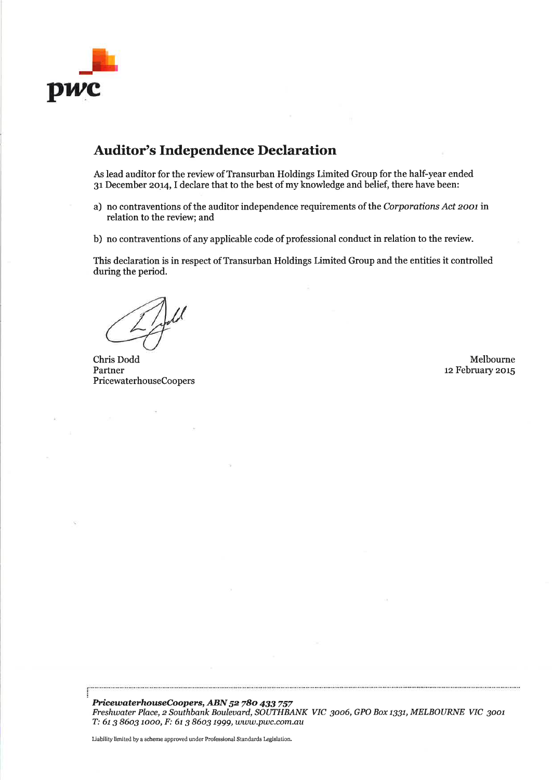

## **Auditor's Independence Declaration**

As lead auditor for the review of Transurban Holdings Limited Group for the half-year ended 31 December 2014, I declare that to the best of my knowledge and belief, there have been:

- a) no contraventions of the auditor independence requirements of the Corporations Act 2001 in relation to the review; and
- b) no contraventions of any applicable code of professional conduct in relation to the review.

This declaration is in respect of Transurban Holdings Limited Group and the entities it controlled during the period.

Chris Dodd Partner PricewaterhouseCoopers

Melbourne 12 February 2015

PricewaterhouseCoopers, ABN 52 780 433 757 Freshwater Place, 2 Southbank Boulevard, SOUTHBANK VIC 3006, GPO Box 1331, MELBOURNE VIC 3001 T: 61 3 8603 1000, F: 61 3 8603 1999, www.pwc.com.au

Liability limited by a scheme approved under Professional Standards Legislation.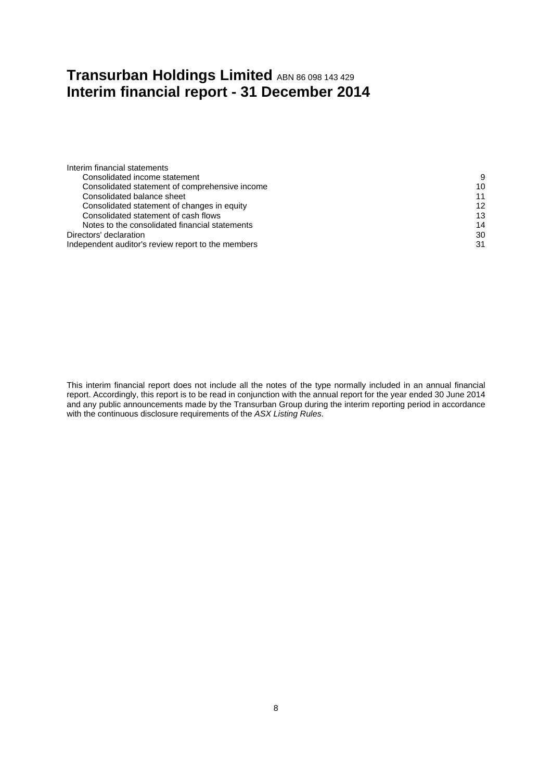## <span id="page-13-0"></span>**Transurban Holdings Limited** ABN <sup>86</sup> <sup>098</sup> <sup>143</sup> <sup>429</sup> **Interim financial report - 31 December 2014**

| Interim financial statements                       |    |
|----------------------------------------------------|----|
| Consolidated income statement                      | 9  |
| Consolidated statement of comprehensive income     | 10 |
| Consolidated balance sheet                         | 11 |
| Consolidated statement of changes in equity        | 12 |
| Consolidated statement of cash flows               | 13 |
| Notes to the consolidated financial statements     | 14 |
| Directors' declaration                             | 30 |
| Independent auditor's review report to the members | 31 |
|                                                    |    |

This interim financial report does not include all the notes of the type normally included in an annual financial report. Accordingly, this report is to be read in conjunction with the annual report for the year ended 30 June 2014 and any public announcements made by the Transurban Group during the interim reporting period in accordance with the continuous disclosure requirements of the *ASX Listing Rules*.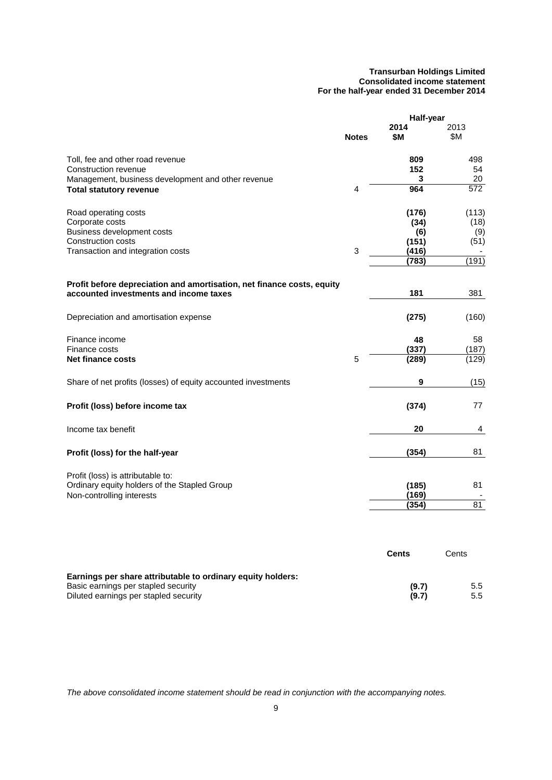#### **Transurban Holdings Limited Consolidated income statement For the half-year ended 31 December 2014**

<span id="page-14-0"></span>

|                                                                                                                  |              | Half-year             |                 |
|------------------------------------------------------------------------------------------------------------------|--------------|-----------------------|-----------------|
|                                                                                                                  | <b>Notes</b> | 2014<br><b>\$M</b>    | 2013<br>\$Μ     |
| Toll, fee and other road revenue<br>Construction revenue<br>Management, business development and other revenue   |              | 809<br>152<br>3       | 498<br>54<br>20 |
| <b>Total statutory revenue</b>                                                                                   | 4            | 964                   | 572             |
| Road operating costs<br>Corporate costs                                                                          |              | (176)<br>(34)         | (113)<br>(18)   |
| Business development costs<br><b>Construction costs</b><br>Transaction and integration costs                     | 3            | (6)<br>(151)<br>(416) | (9)<br>(51)     |
|                                                                                                                  |              | (783)                 | (191)           |
| Profit before depreciation and amortisation, net finance costs, equity<br>accounted investments and income taxes |              | 181                   | 381             |
| Depreciation and amortisation expense                                                                            |              | (275)                 | (160)           |
| Finance income<br>Finance costs                                                                                  |              | 48<br>(337)           | 58<br>(187)     |
| <b>Net finance costs</b>                                                                                         | 5            | (289)                 | (129)           |
| Share of net profits (losses) of equity accounted investments                                                    |              | 9                     | (15)            |
| Profit (loss) before income tax                                                                                  |              | (374)                 | 77              |
| Income tax benefit                                                                                               |              | 20                    | 4               |
| Profit (loss) for the half-year                                                                                  |              | (354)                 | 81              |
| Profit (loss) is attributable to:<br>Ordinary equity holders of the Stapled Group<br>Non-controlling interests   |              | (185)<br>(169)        | 81              |
|                                                                                                                  |              | (354)                 | 81              |
|                                                                                                                  |              |                       |                 |
|                                                                                                                  |              | <b>Cents</b>          | Cents           |

| Earnings per share attributable to ordinary equity holders: |       |     |
|-------------------------------------------------------------|-------|-----|
| Basic earnings per stapled security                         | (9.7) | 5.5 |
| Diluted earnings per stapled security                       | (9.7) | 5.5 |

*The above consolidated income statement should be read in conjunction with the accompanying notes.*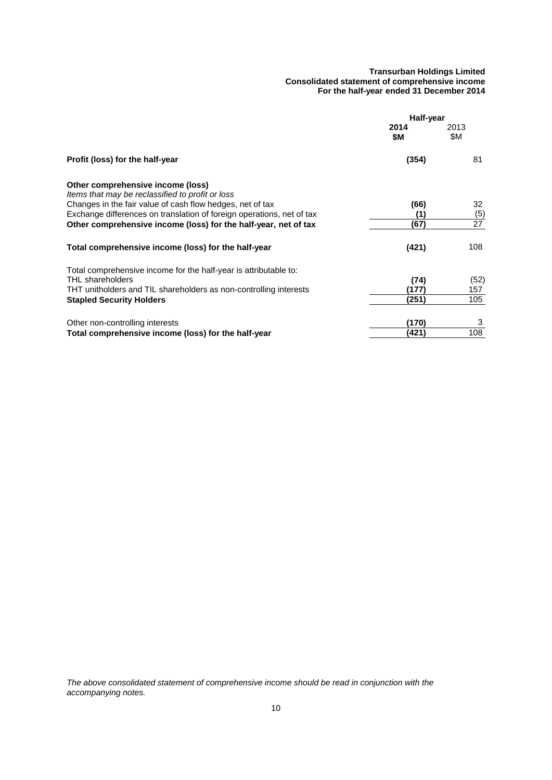#### **Transurban Holdings Limited Consolidated statement of comprehensive income For the half-year ended 31 December 2014**

<span id="page-15-0"></span>

|                                                                                       | Half-year   |             |  |
|---------------------------------------------------------------------------------------|-------------|-------------|--|
|                                                                                       | 2014<br>\$M | 2013<br>\$Μ |  |
| Profit (loss) for the half-year                                                       | (354)       | 81          |  |
| Other comprehensive income (loss)<br>Items that may be reclassified to profit or loss |             |             |  |
| Changes in the fair value of cash flow hedges, net of tax                             | (66)        | 32          |  |
| Exchange differences on translation of foreign operations, net of tax                 | (1)         | (5)         |  |
| Other comprehensive income (loss) for the half-year, net of tax                       | (67)        | 27          |  |
| Total comprehensive income (loss) for the half-year                                   | (421)       | 108         |  |
| Total comprehensive income for the half-year is attributable to:                      |             |             |  |
| THL shareholders                                                                      | (74)        | (52)        |  |
| THT unitholders and TIL shareholders as non-controlling interests                     | (177)       | 157         |  |
| <b>Stapled Security Holders</b>                                                       | (251)       | 105         |  |
| Other non-controlling interests                                                       | (170)       | 3           |  |
| Total comprehensive income (loss) for the half-year                                   | (421)       | 108         |  |
|                                                                                       |             |             |  |

*The above consolidated statement of comprehensive income should be read in conjunction with the accompanying notes.*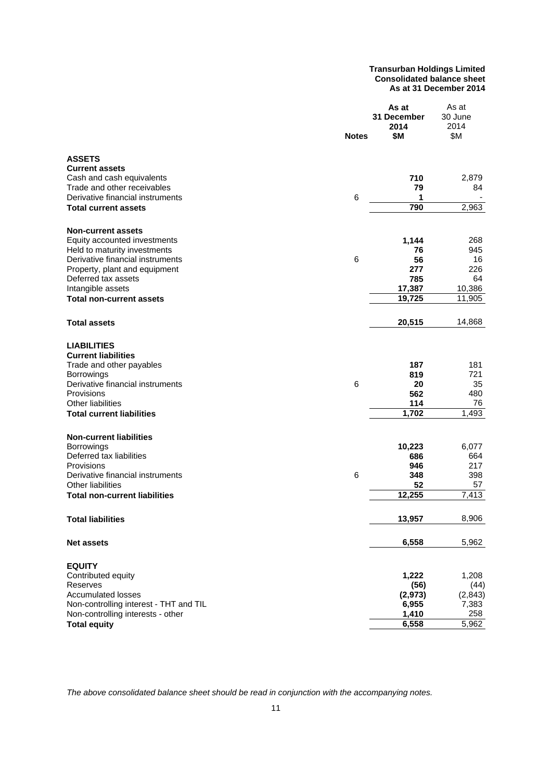#### **Transurban Holdings Limited Consolidated balance sheet As at 31 December 2014**

<span id="page-16-0"></span>

|                                                          | <b>Notes</b> | As at<br>31 December<br>2014<br>\$Μ | As at<br>30 June<br>2014<br>\$Μ |
|----------------------------------------------------------|--------------|-------------------------------------|---------------------------------|
| <b>ASSETS</b>                                            |              |                                     |                                 |
| <b>Current assets</b>                                    |              |                                     |                                 |
| Cash and cash equivalents<br>Trade and other receivables |              | 710                                 | 2,879                           |
| Derivative financial instruments                         | 6            | 79<br>1                             | 84                              |
| Total current assets                                     |              | 790                                 | 2,963                           |
|                                                          |              |                                     |                                 |
| <b>Non-current assets</b>                                |              |                                     |                                 |
| Equity accounted investments                             |              | 1,144                               | 268                             |
| Held to maturity investments                             |              | 76                                  | 945                             |
| Derivative financial instruments                         | 6            | 56                                  | 16                              |
| Property, plant and equipment                            |              | 277                                 | 226                             |
| Deferred tax assets                                      |              | 785                                 | 64                              |
| Intangible assets                                        |              | 17,387                              | 10,386                          |
| <b>Total non-current assets</b>                          |              | 19,725                              | 11,905                          |
| <b>Total assets</b>                                      |              | 20,515                              | 14,868                          |
| <b>LIABILITIES</b>                                       |              |                                     |                                 |
| <b>Current liabilities</b>                               |              |                                     |                                 |
| Trade and other payables                                 |              | 187                                 | 181                             |
| Borrowings                                               |              | 819                                 | 721                             |
| Derivative financial instruments                         | 6            | 20                                  | 35                              |
| Provisions                                               |              | 562                                 | 480                             |
| <b>Other liabilities</b>                                 |              | 114                                 | 76                              |
| <b>Total current liabilities</b>                         |              | 1,702                               | 1,493                           |
| <b>Non-current liabilities</b>                           |              |                                     |                                 |
| <b>Borrowings</b>                                        |              | 10,223                              | 6,077                           |
| Deferred tax liabilities                                 |              | 686                                 | 664                             |
| Provisions                                               |              | 946                                 | 217                             |
| Derivative financial instruments                         | 6            | 348                                 | 398                             |
| <b>Other liabilities</b>                                 |              | 52                                  | 57                              |
| Total non-current liabilities                            |              | 12,255                              | 7,413                           |
|                                                          |              |                                     |                                 |
| <b>Total liabilities</b>                                 |              | 13,957                              | 8,906                           |
| <b>Net assets</b>                                        |              | 6,558                               | 5,962                           |
| <b>EQUITY</b>                                            |              |                                     |                                 |
| Contributed equity                                       |              | 1,222                               | 1,208                           |
| Reserves                                                 |              | (56)                                | (44)                            |
| <b>Accumulated losses</b>                                |              | (2, 973)                            | (2, 843)                        |
| Non-controlling interest - THT and TIL                   |              | 6,955                               | 7,383                           |
| Non-controlling interests - other                        |              | 1,410                               | 258                             |
| <b>Total equity</b>                                      |              | 6,558                               | 5,962                           |

*The above consolidated balance sheet should be read in conjunction with the accompanying notes.*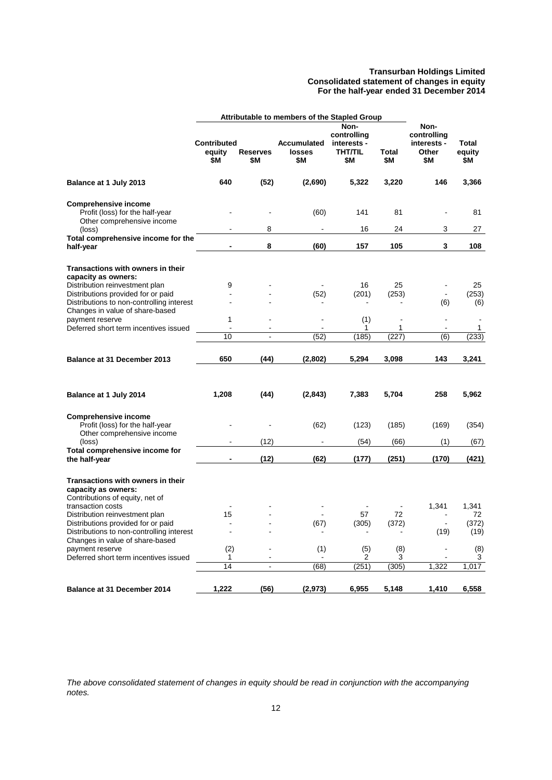#### **Transurban Holdings Limited Consolidated statement of changes in equity For the half-year ended 31 December 2014**

<span id="page-17-0"></span>

|                                                                                                                                                                                                                                       | Attributable to members of the Stapled Group |                        |                                            |                                                             |                               |                                                    |                               |
|---------------------------------------------------------------------------------------------------------------------------------------------------------------------------------------------------------------------------------------|----------------------------------------------|------------------------|--------------------------------------------|-------------------------------------------------------------|-------------------------------|----------------------------------------------------|-------------------------------|
|                                                                                                                                                                                                                                       | <b>Contributed</b><br>equity<br>\$Μ          | <b>Reserves</b><br>\$Μ | <b>Accumulated</b><br><b>losses</b><br>\$Μ | Non-<br>controlling<br>interests -<br><b>THT/TIL</b><br>\$М | <b>Total</b><br>\$Μ           | Non-<br>controlling<br>interests -<br>Other<br>\$Μ | <b>Total</b><br>equity<br>\$Μ |
| Balance at 1 July 2013                                                                                                                                                                                                                | 640                                          | (52)                   | (2,690)                                    | 5,322                                                       | 3,220                         | 146                                                | 3,366                         |
| <b>Comprehensive income</b><br>Profit (loss) for the half-year<br>Other comprehensive income                                                                                                                                          |                                              |                        | (60)                                       | 141                                                         | 81                            |                                                    | 81                            |
| (loss)                                                                                                                                                                                                                                |                                              | 8                      |                                            | 16                                                          | 24                            | 3                                                  | 27                            |
| Total comprehensive income for the<br>half-year                                                                                                                                                                                       |                                              | 8                      | (60)                                       | 157                                                         | 105                           | 3                                                  | 108                           |
| Transactions with owners in their<br>capacity as owners:                                                                                                                                                                              |                                              |                        |                                            |                                                             |                               |                                                    |                               |
| Distribution reinvestment plan                                                                                                                                                                                                        | 9                                            |                        |                                            | 16                                                          | 25                            |                                                    | 25                            |
| Distributions provided for or paid<br>Distributions to non-controlling interest<br>Changes in value of share-based                                                                                                                    |                                              |                        | (52)                                       | (201)                                                       | (253)                         | $\blacksquare$<br>(6)                              | (253)<br>(6)                  |
| payment reserve                                                                                                                                                                                                                       | 1                                            |                        |                                            | (1)                                                         | $\overline{a}$                | ä,                                                 |                               |
| Deferred short term incentives issued                                                                                                                                                                                                 | $\overline{a}$                               |                        |                                            | 1                                                           | 1                             | $\overline{a}$                                     | 1                             |
|                                                                                                                                                                                                                                       | 10                                           | $\overline{a}$         | (52)                                       | (185)                                                       | (227)                         | (6)                                                | (233)                         |
| Balance at 31 December 2013                                                                                                                                                                                                           | 650                                          | (44)                   | (2,802)                                    | 5,294                                                       | 3,098                         | 143                                                | 3,241                         |
| Balance at 1 July 2014                                                                                                                                                                                                                | 1,208                                        | (44)                   | (2,843)                                    | 7,383                                                       | 5,704                         | 258                                                | 5,962                         |
| <b>Comprehensive income</b><br>Profit (loss) for the half-year<br>Other comprehensive income                                                                                                                                          |                                              |                        | (62)                                       | (123)                                                       | (185)                         | (169)                                              | (354)                         |
| (loss)                                                                                                                                                                                                                                |                                              | (12)                   |                                            | (54)                                                        | (66)                          | (1)                                                | (67)                          |
| Total comprehensive income for<br>the half-year                                                                                                                                                                                       |                                              | (12)                   | (62)                                       | (177)                                                       | (251)                         | (170)                                              | (421)                         |
| Transactions with owners in their<br>capacity as owners:<br>Contributions of equity, net of<br>transaction costs<br>Distribution reinvestment plan<br>Distributions provided for or paid<br>Distributions to non-controlling interest | 15<br>$\blacksquare$                         |                        | (67)                                       | 57<br>(305)                                                 | 72<br>(372)<br>$\blacksquare$ | 1,341<br>(19)                                      | 1,341<br>72<br>(372)<br>(19)  |
| Changes in value of share-based<br>payment reserve                                                                                                                                                                                    | (2)                                          |                        | (1)                                        | (5)                                                         | (8)                           |                                                    | (8)                           |
| Deferred short term incentives issued                                                                                                                                                                                                 | 1<br>14                                      | ä,                     | (68)                                       | 2<br>(251)                                                  | 3<br>(305)                    | 1,322                                              | 3<br>1,017                    |
|                                                                                                                                                                                                                                       |                                              |                        |                                            |                                                             |                               |                                                    |                               |
| Balance at 31 December 2014                                                                                                                                                                                                           | 1,222                                        | (56)                   | (2, 973)                                   | 6,955                                                       | 5,148                         | 1,410                                              | 6,558                         |

*The above consolidated statement of changes in equity should be read in conjunction with the accompanying notes.*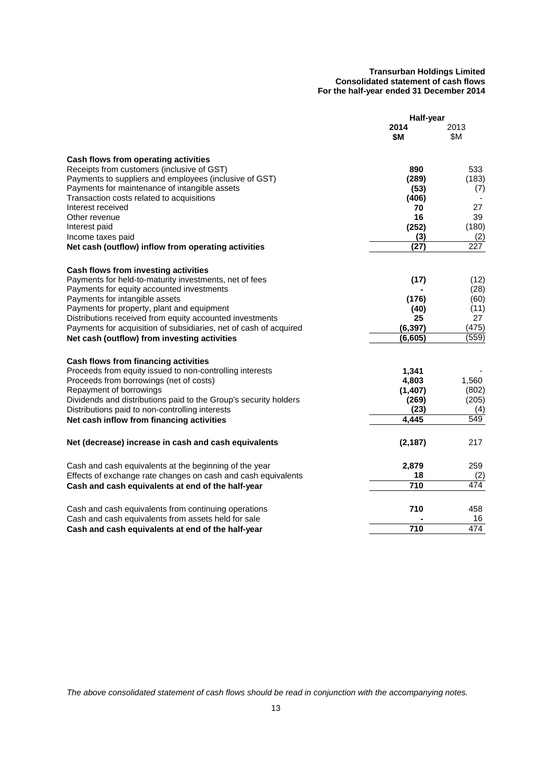#### **Transurban Holdings Limited Consolidated statement of cash flows For the half-year ended 31 December 2014**

<span id="page-18-0"></span>

|                                                                   | Half-year    |              |
|-------------------------------------------------------------------|--------------|--------------|
|                                                                   | 2014<br>\$M  | 2013<br>\$Μ  |
| Cash flows from operating activities                              |              |              |
| Receipts from customers (inclusive of GST)                        | 890          | 533          |
| Payments to suppliers and employees (inclusive of GST)            | (289)        | (183)        |
| Payments for maintenance of intangible assets                     | (53)         | (7)          |
| Transaction costs related to acquisitions                         | (406)        |              |
| Interest received                                                 | 70           | 27           |
| Other revenue                                                     | 16           | 39           |
| Interest paid<br>Income taxes paid                                | (252)<br>(3) | (180)<br>(2) |
| Net cash (outflow) inflow from operating activities               | (27)         | 227          |
|                                                                   |              |              |
| Cash flows from investing activities                              |              |              |
| Payments for held-to-maturity investments, net of fees            | (17)         | (12)         |
| Payments for equity accounted investments                         |              | (28)         |
| Payments for intangible assets                                    | (176)        | (60)         |
| Payments for property, plant and equipment                        | (40)         | (11)         |
| Distributions received from equity accounted investments          | 25           | 27           |
| Payments for acquisition of subsidiaries, net of cash of acquired | (6, 397)     | (475)        |
| Net cash (outflow) from investing activities                      | (6, 605)     | (559)        |
| Cash flows from financing activities                              |              |              |
| Proceeds from equity issued to non-controlling interests          | 1,341        |              |
| Proceeds from borrowings (net of costs)                           | 4,803        | 1,560        |
| Repayment of borrowings                                           | (1, 407)     | (802)        |
| Dividends and distributions paid to the Group's security holders  | (269)        | (205)        |
| Distributions paid to non-controlling interests                   | (23)         | (4)          |
| Net cash inflow from financing activities                         | 4,445        | 549          |
| Net (decrease) increase in cash and cash equivalents              | (2, 187)     | 217          |
|                                                                   |              |              |
| Cash and cash equivalents at the beginning of the year            | 2,879        | 259          |
| Effects of exchange rate changes on cash and cash equivalents     | 18           | (2)          |
| Cash and cash equivalents at end of the half-year                 | 710          | 474          |
|                                                                   | 710          |              |
| Cash and cash equivalents from continuing operations              |              | 458<br>16    |
| Cash and cash equivalents from assets held for sale               | 710          | 474          |
| Cash and cash equivalents at end of the half-year                 |              |              |

*The above consolidated statement of cash flows should be read in conjunction with the accompanying notes.*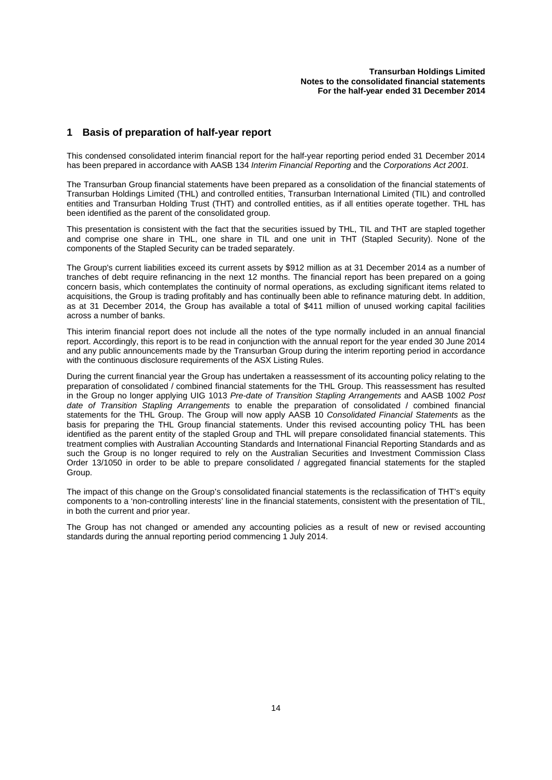## <span id="page-19-0"></span>**1 Basis of preparation of half-year report**

This condensed consolidated interim financial report for the half-year reporting period ended 31 December 2014 has been prepared in accordance with AASB 134 *Interim Financial Reporting* and the *Corporations Act 2001.*

The Transurban Group financial statements have been prepared as a consolidation of the financial statements of Transurban Holdings Limited (THL) and controlled entities, Transurban International Limited (TIL) and controlled entities and Transurban Holding Trust (THT) and controlled entities, as if all entities operate together. THL has been identified as the parent of the consolidated group.

This presentation is consistent with the fact that the securities issued by THL, TIL and THT are stapled together and comprise one share in THL, one share in TIL and one unit in THT (Stapled Security). None of the components of the Stapled Security can be traded separately.

The Group's current liabilities exceed its current assets by \$912 million as at 31 December 2014 as a number of tranches of debt require refinancing in the next 12 months. The financial report has been prepared on a going concern basis, which contemplates the continuity of normal operations, as excluding significant items related to acquisitions, the Group is trading profitably and has continually been able to refinance maturing debt. In addition, as at 31 December 2014, the Group has available a total of \$411 million of unused working capital facilities across a number of banks.

This interim financial report does not include all the notes of the type normally included in an annual financial report. Accordingly, this report is to be read in conjunction with the annual report for the year ended 30 June 2014 and any public announcements made by the Transurban Group during the interim reporting period in accordance with the continuous disclosure requirements of the ASX Listing Rules.

During the current financial year the Group has undertaken a reassessment of its accounting policy relating to the preparation of consolidated / combined financial statements for the THL Group. This reassessment has resulted in the Group no longer applying UIG 1013 *Pre-date of Transition Stapling Arrangements* and AASB 1002 *Post date of Transition Stapling Arrangements* to enable the preparation of consolidated / combined financial statements for the THL Group. The Group will now apply AASB 10 *Consolidated Financial Statements* as the basis for preparing the THL Group financial statements. Under this revised accounting policy THL has been identified as the parent entity of the stapled Group and THL will prepare consolidated financial statements. This treatment complies with Australian Accounting Standards and International Financial Reporting Standards and as such the Group is no longer required to rely on the Australian Securities and Investment Commission Class Order 13/1050 in order to be able to prepare consolidated / aggregated financial statements for the stapled Group.

The impact of this change on the Group's consolidated financial statements is the reclassification of THT's equity components to a 'non-controlling interests' line in the financial statements, consistent with the presentation of TIL, in both the current and prior year.

The Group has not changed or amended any accounting policies as a result of new or revised accounting standards during the annual reporting period commencing 1 July 2014.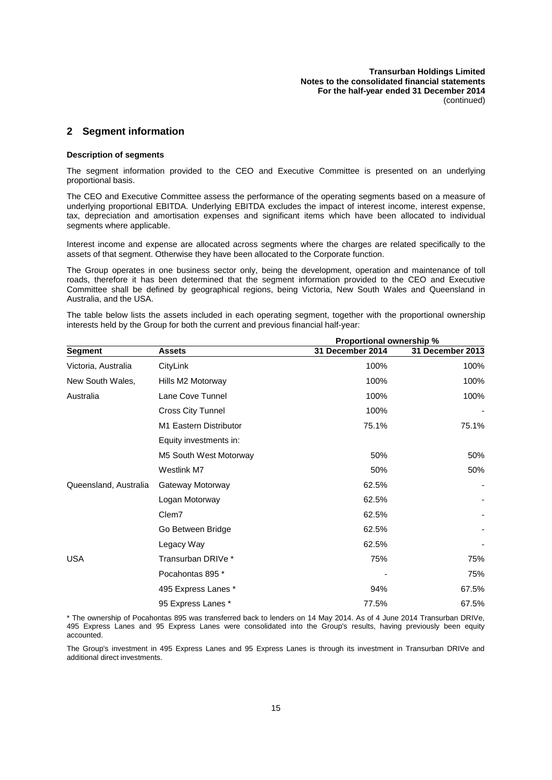## **2 Segment information**

#### **Description of segments**

The segment information provided to the CEO and Executive Committee is presented on an underlying proportional basis.

The CEO and Executive Committee assess the performance of the operating segments based on a measure of underlying proportional EBITDA. Underlying EBITDA excludes the impact of interest income, interest expense, tax, depreciation and amortisation expenses and significant items which have been allocated to individual segments where applicable.

Interest income and expense are allocated across segments where the charges are related specifically to the assets of that segment. Otherwise they have been allocated to the Corporate function.

The Group operates in one business sector only, being the development, operation and maintenance of toll roads, therefore it has been determined that the segment information provided to the CEO and Executive Committee shall be defined by geographical regions, being Victoria, New South Wales and Queensland in Australia, and the USA.

The table below lists the assets included in each operating segment, together with the proportional ownership interests held by the Group for both the current and previous financial half-year:

|                       |                          | <b>Proportional ownership %</b> |                  |
|-----------------------|--------------------------|---------------------------------|------------------|
| Segment               | <b>Assets</b>            | 31 December 2014                | 31 December 2013 |
| Victoria, Australia   | CityLink                 | 100%                            | 100%             |
| New South Wales,      | Hills M2 Motorway        | 100%                            | 100%             |
| Australia             | Lane Cove Tunnel         | 100%                            | 100%             |
|                       | <b>Cross City Tunnel</b> | 100%                            |                  |
|                       | M1 Eastern Distributor   | 75.1%                           | 75.1%            |
|                       | Equity investments in:   |                                 |                  |
|                       | M5 South West Motorway   | 50%                             | 50%              |
|                       | Westlink M7              | 50%                             | 50%              |
| Queensland, Australia | Gateway Motorway         | 62.5%                           |                  |
|                       | Logan Motorway           | 62.5%                           |                  |
|                       | Clem7                    | 62.5%                           |                  |
|                       | Go Between Bridge        | 62.5%                           |                  |
|                       | Legacy Way               | 62.5%                           |                  |
| <b>USA</b>            | Transurban DRIVe *       | 75%                             | 75%              |
|                       | Pocahontas 895 *         |                                 | 75%              |
|                       | 495 Express Lanes *      | 94%                             | 67.5%            |
|                       | 95 Express Lanes *       | 77.5%                           | 67.5%            |

\* The ownership of Pocahontas 895 was transferred back to lenders on 14 May 2014. As of 4 June 2014 Transurban DRIVe, 495 Express Lanes and 95 Express Lanes were consolidated into the Group's results, having previously been equity accounted.

The Group's investment in 495 Express Lanes and 95 Express Lanes is through its investment in Transurban DRIVe and additional direct investments.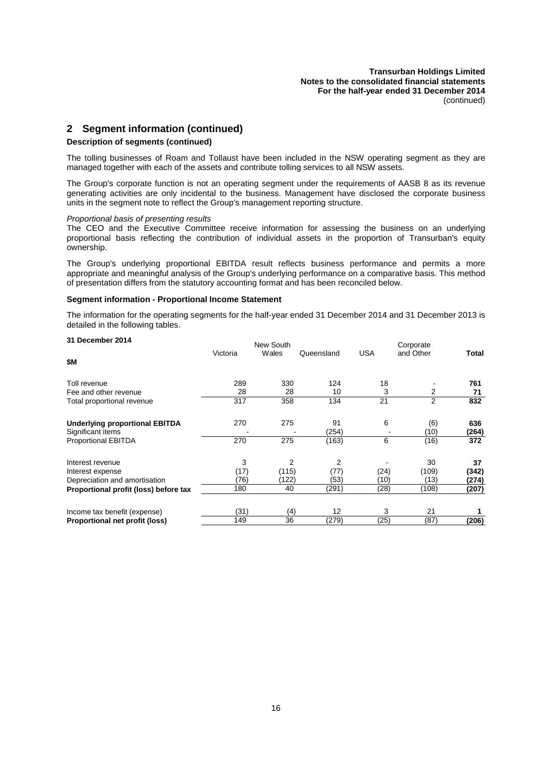**Transurban Holdings Limited Notes to the consolidated financial statements For the half-year ended 31 December 2014** (continued)

## **2 Segment information (continued)**

#### **Description of segments (continued)**

The tolling businesses of Roam and Tollaust have been included in the NSW operating segment as they are managed together with each of the assets and contribute tolling services to all NSW assets.

The Group's corporate function is not an operating segment under the requirements of AASB 8 as its revenue generating activities are only incidental to the business. Management have disclosed the corporate business units in the segment note to reflect the Group's management reporting structure.

#### *Proportional basis of presenting results*

The CEO and the Executive Committee receive information for assessing the business on an underlying proportional basis reflecting the contribution of individual assets in the proportion of Transurban's equity ownership.

The Group's underlying proportional EBITDA result reflects business performance and permits a more appropriate and meaningful analysis of the Group's underlying performance on a comparative basis. This method of presentation differs from the statutory accounting format and has been reconciled below.

#### **Segment information - Proportional Income Statement**

The information for the operating segments for the half-year ended 31 December 2014 and 31 December 2013 is detailed in the following tables.

| 31 December 2014                                           |          | New South |             |      | Corporate   |              |
|------------------------------------------------------------|----------|-----------|-------------|------|-------------|--------------|
| \$M                                                        | Victoria | Wales     | Queensland  | USA  | and Other   | Total        |
| Toll revenue                                               | 289      | 330       | 124         | 18   |             | 761          |
| Fee and other revenue                                      | 28       | 28        | 10          | 3    | 2           | 71           |
| Total proportional revenue                                 | 317      | 358       | 134         | 21   | 2           | 832          |
| <b>Underlying proportional EBITDA</b><br>Significant items | 270      | 275       | 91<br>(254) | 6    | (6)<br>(10) | 636<br>(264) |
| Proportional EBITDA                                        | 270      | 275       | (163)       | 6    | (16)        | 372          |
| Interest revenue                                           | 3        | 2         | 2           |      | 30          | 37           |
| Interest expense                                           | (17)     | (115)     | (77)        | (24) | (109)       | (342)        |
| Depreciation and amortisation                              | (76)     | (122)     | (53)        | (10) | (13)        | (274)        |
| Proportional profit (loss) before tax                      | 180      | 40        | (291)       | (28) | (108)       | (207)        |
| Income tax benefit (expense)                               | (31)     | (4)       | 12          | 3    | 21          |              |
| Proportional net profit (loss)                             | 149      | 36        | (279)       | (25) | (87)        | (206)        |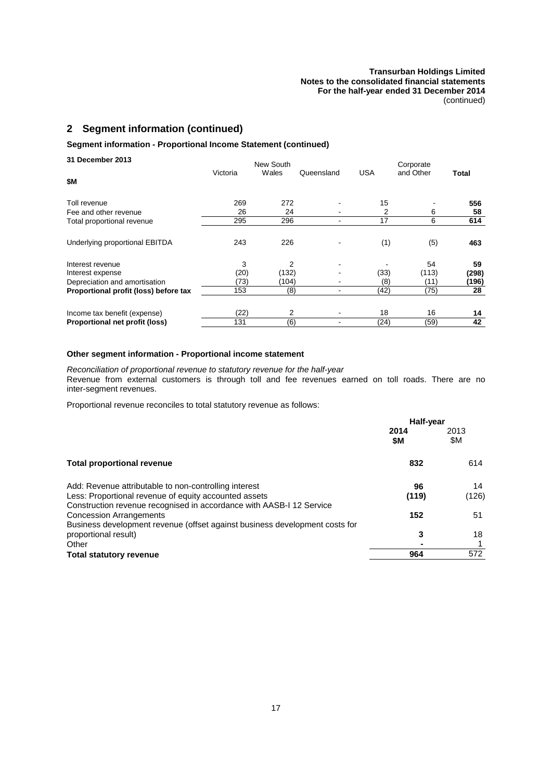## **2 Segment information (continued)**

## **Segment information - Proportional Income Statement (continued)**

| 31 December 2013                      |          | New South |            |            | Corporate |       |
|---------------------------------------|----------|-----------|------------|------------|-----------|-------|
| \$М                                   | Victoria | Wales     | Queensland | <b>USA</b> | and Other | Total |
| Toll revenue                          | 269      | 272       |            | 15         |           | 556   |
| Fee and other revenue                 | 26       | 24        |            | 2          | 6         | 58    |
| Total proportional revenue            | 295      | 296       |            | 17         | 6         | 614   |
| Underlying proportional EBITDA        | 243      | 226       |            | (1)        | (5)       | 463   |
| Interest revenue                      | 3        | 2         |            |            | 54        | 59    |
| Interest expense                      | (20)     | (132)     |            | (33)       | (113)     | (298) |
| Depreciation and amortisation         | (73)     | (104)     |            | (8)        | (11)      | (196) |
| Proportional profit (loss) before tax | 153      | (8)       |            | (42)       | (75)      | 28    |
| Income tax benefit (expense)          | (22)     | 2         |            | 18         | 16        | 14    |
| Proportional net profit (loss)        | 131      | (6)       |            | (24)       | (59)      | 42    |

## **Other segment information - Proportional income statement**

*Reconciliation of proportional revenue to statutory revenue for the half-year* Revenue from external customers is through toll and fee revenues earned on toll roads. There are no inter-segment revenues.

Proportional revenue reconciles to total statutory revenue as follows:

|                                                                                                                               | Half-year   |             |
|-------------------------------------------------------------------------------------------------------------------------------|-------------|-------------|
|                                                                                                                               | 2014<br>\$M | 2013<br>\$Μ |
| <b>Total proportional revenue</b>                                                                                             | 832         | 614         |
| Add: Revenue attributable to non-controlling interest                                                                         | 96          | 14          |
| Less: Proportional revenue of equity accounted assets<br>Construction revenue recognised in accordance with AASB-I 12 Service | (119)       | (126)       |
| <b>Concession Arrangements</b><br>Business development revenue (offset against business development costs for                 | 152         | 51          |
| proportional result)                                                                                                          | 3           | 18          |
| Other                                                                                                                         |             |             |
| <b>Total statutory revenue</b>                                                                                                | 964         | 572         |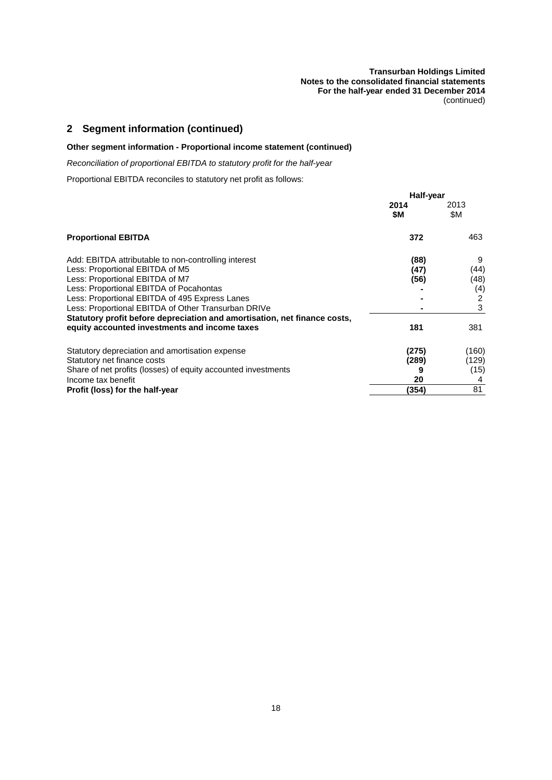#### **Transurban Holdings Limited Notes to the consolidated financial statements For the half-year ended 31 December 2014** (continued)

## **2 Segment information (continued)**

## **Other segment information - Proportional income statement (continued)**

*Reconciliation of proportional EBITDA to statutory profit for the half-year*

Proportional EBITDA reconciles to statutory net profit as follows:

|                                                                           | Half-year   |             |
|---------------------------------------------------------------------------|-------------|-------------|
|                                                                           | 2014<br>\$M | 2013<br>\$Μ |
| <b>Proportional EBITDA</b>                                                | 372         | 463         |
| Add: EBITDA attributable to non-controlling interest                      | (88)        | 9           |
| Less: Proportional EBITDA of M5                                           | (47)        | (44)        |
| Less: Proportional EBITDA of M7                                           | (56)        | (48)        |
| Less: Proportional EBITDA of Pocahontas                                   |             | (4)         |
| Less: Proportional EBITDA of 495 Express Lanes                            |             | 2           |
| Less: Proportional EBITDA of Other Transurban DRIVe                       |             | 3           |
| Statutory profit before depreciation and amortisation, net finance costs, |             |             |
| equity accounted investments and income taxes                             | 181         | 381         |
| Statutory depreciation and amortisation expense                           | (275)       | (160)       |
| Statutory net finance costs                                               | (289)       | (129)       |
| Share of net profits (losses) of equity accounted investments             |             | (15)        |
| Income tax benefit                                                        | 20          |             |
| Profit (loss) for the half-year                                           | (354)       | 81          |
|                                                                           |             |             |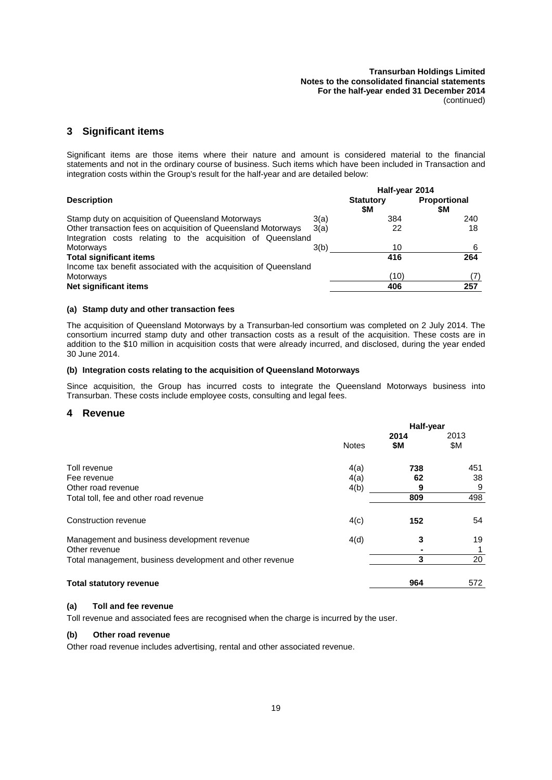## <span id="page-24-1"></span>**3 Significant items**

Significant items are those items where their nature and amount is considered material to the financial statements and not in the ordinary course of business. Such items which have been included in Transaction and integration costs within the Group's result for the half-year and are detailed below:

|                                                                  | Half-year 2014 |                  |              |
|------------------------------------------------------------------|----------------|------------------|--------------|
| <b>Description</b>                                               |                | <b>Statutory</b> | Proportional |
|                                                                  |                | \$M              | \$Μ          |
| Stamp duty on acquisition of Queensland Motorways                | 3(a)           | 384              | 240          |
| Other transaction fees on acquisition of Queensland Motorways    | 3(a)           | 22               | 18           |
| Integration costs relating to the acquisition of Queensland      |                |                  |              |
| Motorways                                                        | 3(b)           | 10               | 6            |
| <b>Total significant items</b>                                   |                | 416              | 264          |
| Income tax benefit associated with the acquisition of Queensland |                |                  |              |
| Motorways                                                        |                | (10)             | (7)          |
| Net significant items                                            |                | 406              | 257          |

#### **(a) Stamp duty and other transaction fees**

The acquisition of Queensland Motorways by a Transurban-led consortium was completed on 2 July 2014. The consortium incurred stamp duty and other transaction costs as a result of the acquisition. These costs are in addition to the \$10 million in acquisition costs that were already incurred, and disclosed, during the year ended 30 June 2014.

#### **(b) Integration costs relating to the acquisition of Queensland Motorways**

<span id="page-24-0"></span>Since acquisition, the Group has incurred costs to integrate the Queensland Motorways business into Transurban. These costs include employee costs, consulting and legal fees.

#### **4 Revenue**

|                                                          | Half-year    |      |      |
|----------------------------------------------------------|--------------|------|------|
|                                                          |              | 2014 | 2013 |
|                                                          | <b>Notes</b> | \$M  | \$Μ  |
| Toll revenue                                             | 4(a)         | 738  | 451  |
| Fee revenue                                              | 4(a)         | 62   | 38   |
| Other road revenue                                       | 4(b)         | 9    | 9    |
| Total toll, fee and other road revenue                   |              | 809  | 498  |
| Construction revenue                                     | 4(c)         | 152  | 54   |
| Management and business development revenue              | 4(d)         | 3    | 19   |
| Other revenue                                            |              |      |      |
| Total management, business development and other revenue |              | 3    | 20   |
| <b>Total statutory revenue</b>                           |              | 964  | 572  |

#### <span id="page-24-2"></span>**(a) Toll and fee revenue**

<span id="page-24-3"></span>Toll revenue and associated fees are recognised when the charge is incurred by the user.

#### **(b) Other road revenue**

Other road revenue includes advertising, rental and other associated revenue.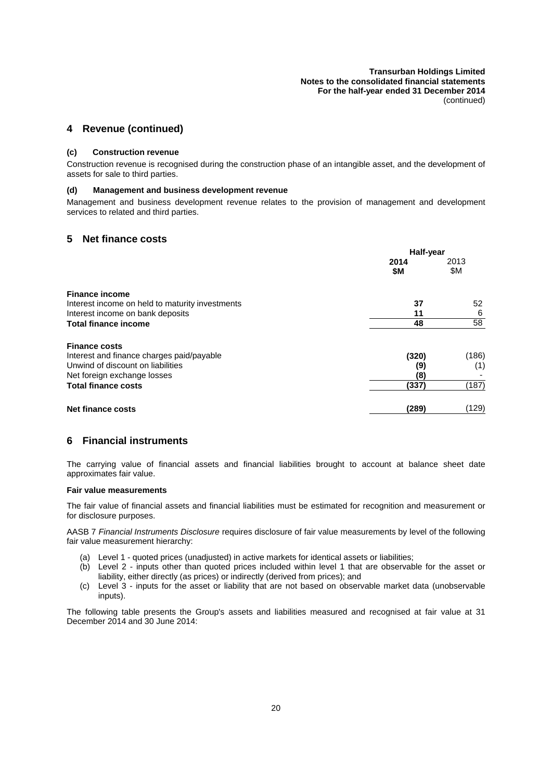## <span id="page-25-2"></span>**4 Revenue (continued)**

#### **(c) Construction revenue**

<span id="page-25-3"></span>Construction revenue is recognised during the construction phase of an intangible asset, and the development of assets for sale to third parties.

## **(d) Management and business development revenue**

<span id="page-25-0"></span>Management and business development revenue relates to the provision of management and development services to related and third parties.

## **5 Net finance costs**

|                                                 | Half-year |       |
|-------------------------------------------------|-----------|-------|
|                                                 | 2014      | 2013  |
|                                                 | \$M       | \$Μ   |
| <b>Finance income</b>                           |           |       |
| Interest income on held to maturity investments | 37        | 52    |
| Interest income on bank deposits                | 11        | 6     |
| <b>Total finance income</b>                     | 48        | 58    |
| <b>Finance costs</b>                            |           |       |
| Interest and finance charges paid/payable       | (320)     | (186) |
| Unwind of discount on liabilities               | (9)       | (1)   |
| Net foreign exchange losses                     | (8)       |       |
| <b>Total finance costs</b>                      | (337)     | (187) |
| <b>Net finance costs</b>                        | (289)     | (129) |

## <span id="page-25-1"></span>**6 Financial instruments**

The carrying value of financial assets and financial liabilities brought to account at balance sheet date approximates fair value.

#### **Fair value measurements**

The fair value of financial assets and financial liabilities must be estimated for recognition and measurement or for disclosure purposes.

AASB 7 *Financial Instruments Disclosure* requires disclosure of fair value measurements by level of the following fair value measurement hierarchy:

- (a) Level 1 quoted prices (unadjusted) in active markets for identical assets or liabilities;
- (b) Level 2 inputs other than quoted prices included within level 1 that are observable for the asset or liability, either directly (as prices) or indirectly (derived from prices); and
- (c) Level 3 inputs for the asset or liability that are not based on observable market data (unobservable inputs).

The following table presents the Group's assets and liabilities measured and recognised at fair value at 31 December 2014 and 30 June 2014: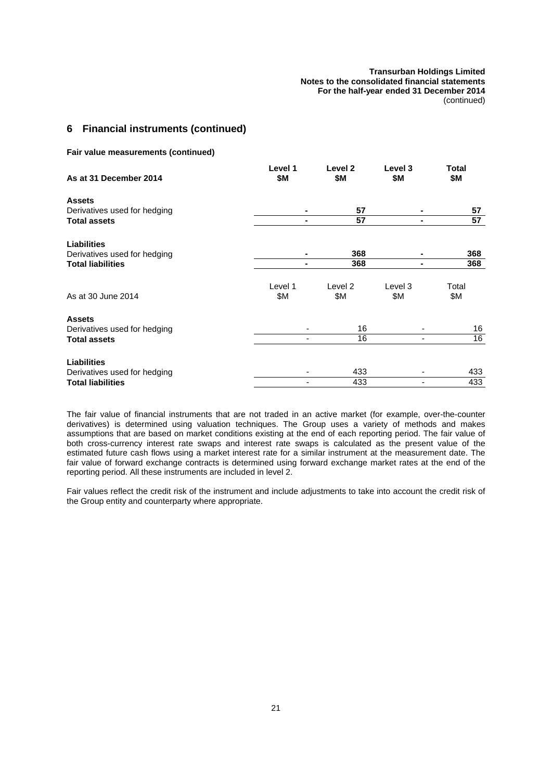## **6 Financial instruments (continued)**

**Fair value measurements (continued)**

| As at 31 December 2014       | Level 1<br>\$Μ | Level 2<br>\$М | Level 3<br>\$Μ | Total<br>\$М |
|------------------------------|----------------|----------------|----------------|--------------|
| <b>Assets</b>                |                |                |                |              |
| Derivatives used for hedging |                | 57             | ۰              | 57           |
| <b>Total assets</b>          |                | 57             | ۰              | 57           |
| <b>Liabilities</b>           |                |                |                |              |
| Derivatives used for hedging |                | 368            |                | 368          |
| <b>Total liabilities</b>     |                | 368            | $\blacksquare$ | 368          |
|                              | Level 1        | Level 2        | Level 3        | Total        |
| As at 30 June 2014           | \$Μ            | \$M            | \$Μ            | \$М          |
| <b>Assets</b>                |                |                |                |              |
| Derivatives used for hedging |                | 16             |                | 16           |
| <b>Total assets</b>          | ٠              | 16             |                | 16           |
| <b>Liabilities</b>           |                |                |                |              |
| Derivatives used for hedging |                | 433            |                | 433          |
| <b>Total liabilities</b>     |                | 433            |                | 433          |

The fair value of financial instruments that are not traded in an active market (for example, over-the-counter derivatives) is determined using valuation techniques. The Group uses a variety of methods and makes assumptions that are based on market conditions existing at the end of each reporting period. The fair value of both cross-currency interest rate swaps and interest rate swaps is calculated as the present value of the estimated future cash flows using a market interest rate for a similar instrument at the measurement date. The fair value of forward exchange contracts is determined using forward exchange market rates at the end of the reporting period. All these instruments are included in level 2.

Fair values reflect the credit risk of the instrument and include adjustments to take into account the credit risk of the Group entity and counterparty where appropriate.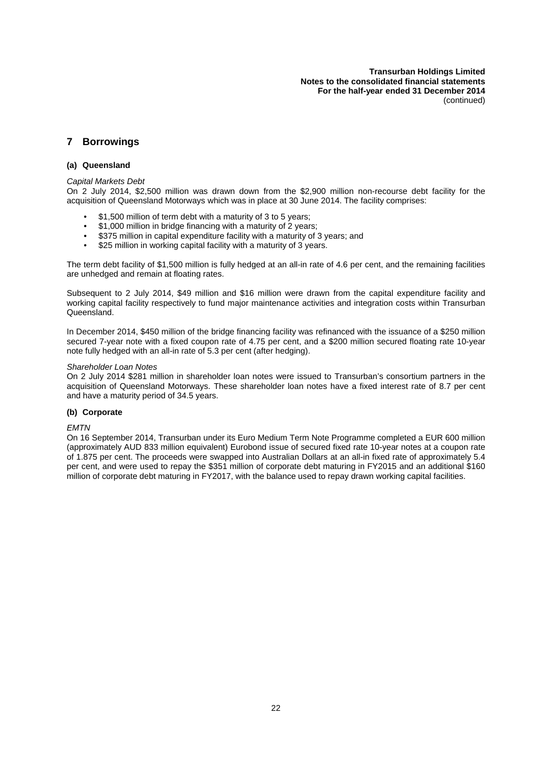## **7 Borrowings**

#### **(a) Queensland**

#### *Capital Markets Debt*

On 2 July 2014, \$2,500 million was drawn down from the \$2,900 million non-recourse debt facility for the acquisition of Queensland Motorways which was in place at 30 June 2014. The facility comprises:

- \$1,500 million of term debt with a maturity of 3 to 5 years;
- \$1,000 million in bridge financing with a maturity of 2 years;
- \$375 million in capital expenditure facility with a maturity of 3 years; and
- \$25 million in working capital facility with a maturity of 3 years.

The term debt facility of \$1,500 million is fully hedged at an all-in rate of 4.6 per cent, and the remaining facilities are unhedged and remain at floating rates.

Subsequent to 2 July 2014, \$49 million and \$16 million were drawn from the capital expenditure facility and working capital facility respectively to fund major maintenance activities and integration costs within Transurban Queensland.

In December 2014, \$450 million of the bridge financing facility was refinanced with the issuance of a \$250 million secured 7-year note with a fixed coupon rate of 4.75 per cent, and a \$200 million secured floating rate 10-year note fully hedged with an all-in rate of 5.3 per cent (after hedging).

#### *Shareholder Loan Notes*

On 2 July 2014 \$281 million in shareholder loan notes were issued to Transurban's consortium partners in the acquisition of Queensland Motorways. These shareholder loan notes have a fixed interest rate of 8.7 per cent and have a maturity period of 34.5 years.

#### **(b) Corporate**

#### *EMTN*

On 16 September 2014, Transurban under its Euro Medium Term Note Programme completed a EUR 600 million (approximately AUD 833 million equivalent) Eurobond issue of secured fixed rate 10-year notes at a coupon rate of 1.875 per cent. The proceeds were swapped into Australian Dollars at an all-in fixed rate of approximately 5.4 per cent, and were used to repay the \$351 million of corporate debt maturing in FY2015 and an additional \$160 million of corporate debt maturing in FY2017, with the balance used to repay drawn working capital facilities.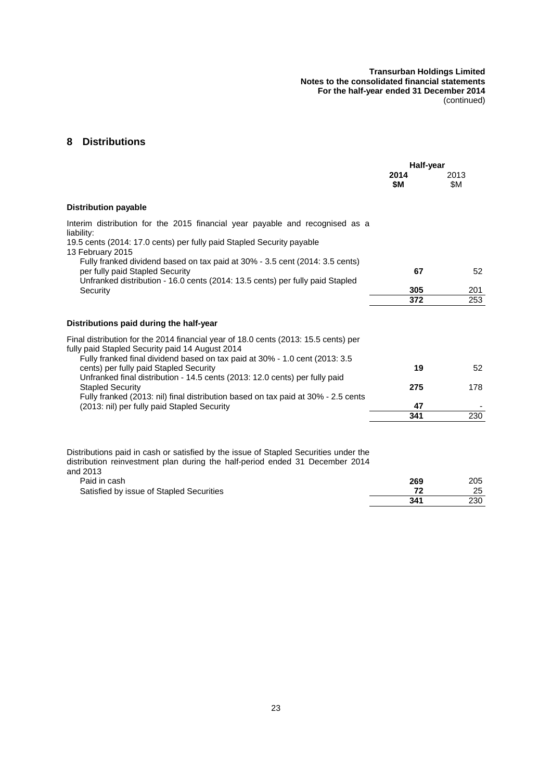## **8 Distributions**

|                                                                                                                                                                                                                        | Half-year   |             |
|------------------------------------------------------------------------------------------------------------------------------------------------------------------------------------------------------------------------|-------------|-------------|
|                                                                                                                                                                                                                        | 2014<br>\$M | 2013<br>\$Μ |
| <b>Distribution payable</b>                                                                                                                                                                                            |             |             |
| Interim distribution for the 2015 financial year payable and recognised as a<br>liability:<br>19.5 cents (2014: 17.0 cents) per fully paid Stapled Security payable<br>13 February 2015                                |             |             |
| Fully franked dividend based on tax paid at 30% - 3.5 cent (2014: 3.5 cents)<br>per fully paid Stapled Security<br>Unfranked distribution - 16.0 cents (2014: 13.5 cents) per fully paid Stapled                       | 67          | 52          |
| Security                                                                                                                                                                                                               | 305         | 201         |
|                                                                                                                                                                                                                        | 372         | 253         |
| Distributions paid during the half-year                                                                                                                                                                                |             |             |
| Final distribution for the 2014 financial year of 18.0 cents (2013: 15.5 cents) per<br>fully paid Stapled Security paid 14 August 2014<br>Fully franked final dividend based on tax paid at 30% - 1.0 cent (2013: 3.5) |             |             |
| cents) per fully paid Stapled Security<br>Unfranked final distribution - 14.5 cents (2013: 12.0 cents) per fully paid                                                                                                  | 19          | 52          |
| <b>Stapled Security</b><br>Fully franked (2013: nil) final distribution based on tax paid at 30% - 2.5 cents                                                                                                           | 275         | 178         |
| (2013: nil) per fully paid Stapled Security                                                                                                                                                                            | 47          |             |
|                                                                                                                                                                                                                        | 341         | 230         |

Distributions paid in cash or satisfied by the issue of Stapled Securities under the distribution reinvestment plan during the half-period ended 31 December 2014 and 2013

| Paid in cash                             | 269 | 205 |
|------------------------------------------|-----|-----|
| Satisfied by issue of Stapled Securities |     | 25  |
|                                          | 341 | 230 |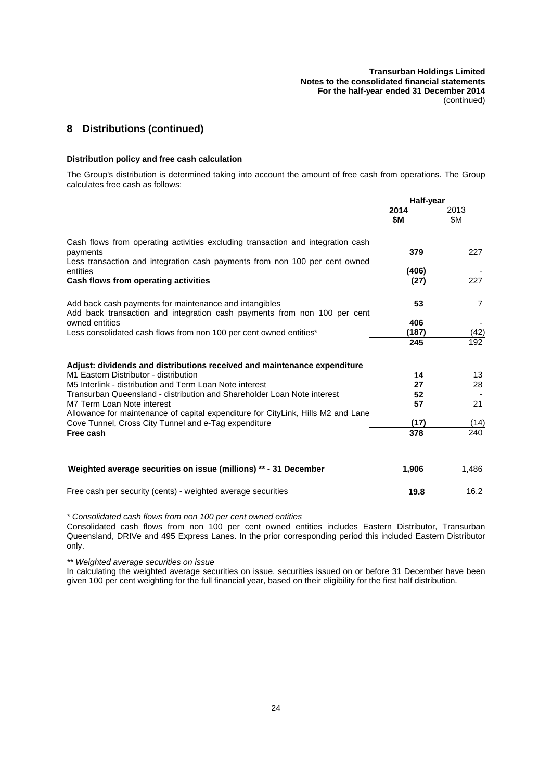## **8 Distributions (continued)**

#### **Distribution policy and free cash calculation**

The Group's distribution is determined taking into account the amount of free cash from operations. The Group calculates free cash as follows:

|                                                                                                                                          | Half-year   |                |
|------------------------------------------------------------------------------------------------------------------------------------------|-------------|----------------|
|                                                                                                                                          | 2014<br>\$M | 2013<br>\$Μ    |
| Cash flows from operating activities excluding transaction and integration cash<br>payments                                              | 379         | 227            |
| Less transaction and integration cash payments from non 100 per cent owned<br>entities                                                   | (406)       |                |
| Cash flows from operating activities                                                                                                     | (27)        | 227            |
| Add back cash payments for maintenance and intangibles<br>Add back transaction and integration cash payments from non 100 per cent       | 53          | $\overline{7}$ |
| owned entities                                                                                                                           | 406         |                |
| Less consolidated cash flows from non 100 per cent owned entities*                                                                       | (187)       | (42)           |
|                                                                                                                                          | 245         | 192            |
| Adjust: dividends and distributions received and maintenance expenditure                                                                 |             |                |
| M1 Eastern Distributor - distribution                                                                                                    | 14          | 13             |
| M5 Interlink - distribution and Term Loan Note interest                                                                                  | 27          | 28             |
| Transurban Queensland - distribution and Shareholder Loan Note interest                                                                  | 52          |                |
| M7 Term Loan Note interest                                                                                                               | 57          | 21             |
| Allowance for maintenance of capital expenditure for CityLink, Hills M2 and Lane<br>Cove Tunnel, Cross City Tunnel and e-Tag expenditure | (17)        | (14)           |
| Free cash                                                                                                                                | 378         | 240            |
|                                                                                                                                          |             |                |
| Weighted average securities on issue (millions) ** - 31 December                                                                         | 1,906       | 1,486          |
| Free cash per security (cents) - weighted average securities                                                                             | 19.8        | 16.2           |

*\* Consolidated cash flows from non 100 per cent owned entities*

Consolidated cash flows from non 100 per cent owned entities includes Eastern Distributor, Transurban Queensland, DRIVe and 495 Express Lanes. In the prior corresponding period this included Eastern Distributor only.

*\*\* Weighted average securities on issue*

In calculating the weighted average securities on issue, securities issued on or before 31 December have been given 100 per cent weighting for the full financial year, based on their eligibility for the first half distribution.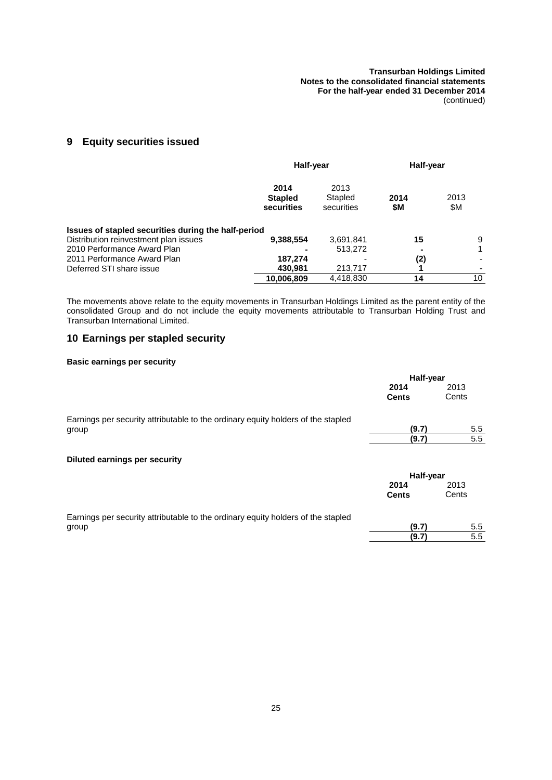## **9 Equity securities issued**

|                                                     | Half-year                            |                               | Half-year   |             |
|-----------------------------------------------------|--------------------------------------|-------------------------------|-------------|-------------|
|                                                     | 2014<br><b>Stapled</b><br>securities | 2013<br>Stapled<br>securities | 2014<br>\$M | 2013<br>\$Μ |
| Issues of stapled securities during the half-period |                                      |                               |             |             |
| Distribution reinvestment plan issues               | 9,388,554                            | 3,691,841                     | 15          | 9           |
| 2010 Performance Award Plan                         |                                      | 513.272                       |             |             |
| 2011 Performance Award Plan                         | 187,274                              |                               | (2)         |             |
| Deferred STI share issue                            | 430,981                              | 213,717                       |             |             |
|                                                     | 10,006,809                           | 4,418,830                     | 14          | 10          |

The movements above relate to the equity movements in Transurban Holdings Limited as the parent entity of the consolidated Group and do not include the equity movements attributable to Transurban Holding Trust and Transurban International Limited.

## **10 Earnings per stapled security**

## **Basic earnings per security**

|                                                                                  | Half-year    |       |
|----------------------------------------------------------------------------------|--------------|-------|
|                                                                                  | 2014         | 2013  |
|                                                                                  | <b>Cents</b> | Cents |
| Earnings per security attributable to the ordinary equity holders of the stapled |              |       |
| group                                                                            | (9.7)        | 5.5   |
|                                                                                  | (9.7)        | 5.5   |
| <b>Diluted earnings per security</b>                                             |              |       |
|                                                                                  | Half-year    |       |
|                                                                                  | 2014         | 2013  |
|                                                                                  | <b>Cents</b> | Cents |
| Earnings per security attributable to the ordinary equity holders of the stapled |              |       |
| group                                                                            | (9.7)        | 5.5   |
|                                                                                  | (9.7)        | 5.5   |
|                                                                                  |              |       |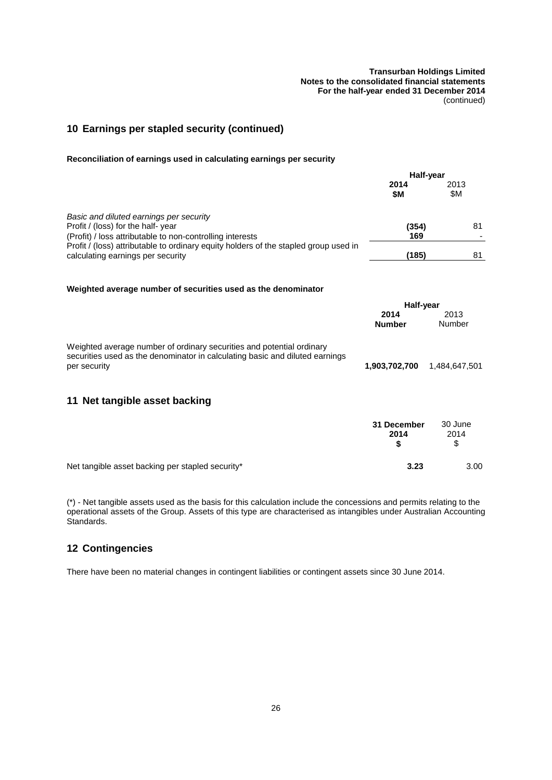## **10 Earnings per stapled security (continued)**

#### **Reconciliation of earnings used in calculating earnings per security**

|                                                                                                                                                       | Half-year             |                |
|-------------------------------------------------------------------------------------------------------------------------------------------------------|-----------------------|----------------|
|                                                                                                                                                       | 2014<br>\$M           | 2013<br>\$Μ    |
| Basic and diluted earnings per security<br>Profit / (loss) for the half-year<br>(Profit) / loss attributable to non-controlling interests             | (354)<br>169          | 81             |
| Profit / (loss) attributable to ordinary equity holders of the stapled group used in<br>calculating earnings per security                             | (185)                 | 81             |
| Weighted average number of securities used as the denominator                                                                                         |                       |                |
|                                                                                                                                                       | Half-year             |                |
|                                                                                                                                                       | 2014<br><b>Number</b> | 2013<br>Number |
| Weighted average number of ordinary securities and potential ordinary<br>securities used as the denominator in calculating basic and diluted earnings |                       |                |
| per security                                                                                                                                          | 1,903,702,700         | 1,484,647,501  |
| Net tangible asset backing<br>11                                                                                                                      |                       |                |
|                                                                                                                                                       |                       |                |

|                                                  | 31 December<br>2014 | 30 June<br>2014<br>\$. |
|--------------------------------------------------|---------------------|------------------------|
| Net tangible asset backing per stapled security* | 3.23                | 3.00                   |

(\*) - Net tangible assets used as the basis for this calculation include the concessions and permits relating to the operational assets of the Group. Assets of this type are characterised as intangibles under Australian Accounting Standards.

## **12 Contingencies**

There have been no material changes in contingent liabilities or contingent assets since 30 June 2014.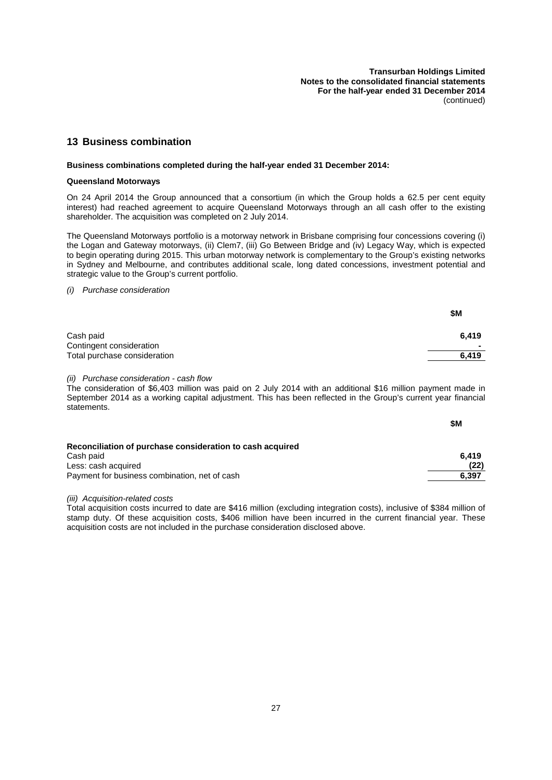## **13 Business combination**

## **Business combinations completed during the half-year ended 31 December 2014:**

## **Queensland Motorways**

On 24 April 2014 the Group announced that a consortium (in which the Group holds a 62.5 per cent equity interest) had reached agreement to acquire Queensland Motorways through an all cash offer to the existing shareholder. The acquisition was completed on 2 July 2014.

The Queensland Motorways portfolio is a motorway network in Brisbane comprising four concessions covering (i) the Logan and Gateway motorways, (ii) Clem7, (iii) Go Between Bridge and (iv) Legacy Way, which is expected to begin operating during 2015. This urban motorway network is complementary to the Group's existing networks in Sydney and Melbourne, and contributes additional scale, long dated concessions, investment potential and strategic value to the Group's current portfolio.

*(i) Purchase consideration*

|                                                          | \$Μ        |
|----------------------------------------------------------|------------|
| Cash paid                                                | 6.419      |
| Contingent consideration<br>Total purchase consideration | -<br>6,419 |

*(ii) Purchase consideration - cash flow*

The consideration of \$6,403 million was paid on 2 July 2014 with an additional \$16 million payment made in September 2014 as a working capital adjustment. This has been reflected in the Group's current year financial statements.

|                                                           | \$M   |
|-----------------------------------------------------------|-------|
| Reconciliation of purchase consideration to cash acquired |       |
| Cash paid                                                 | 6.419 |
| Less: cash acquired                                       | (22)  |
| Payment for business combination, net of cash             | 6.397 |

*(iii) Acquisition-related costs*

Total acquisition costs incurred to date are \$416 million (excluding integration costs), inclusive of \$384 million of stamp duty. Of these acquisition costs, \$406 million have been incurred in the current financial year. These acquisition costs are not included in the purchase consideration disclosed above.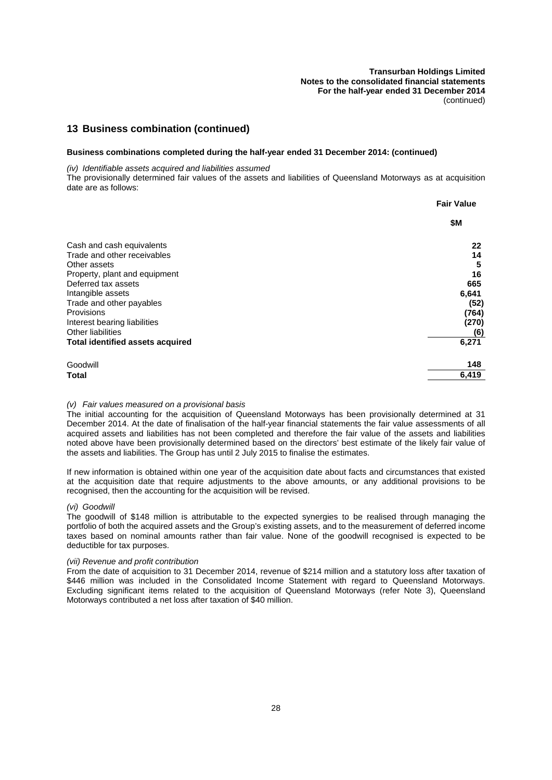## **13 Business combination (continued)**

#### **Business combinations completed during the half-year ended 31 December 2014: (continued)**

*(iv) Identifiable assets acquired and liabilities assumed*

The provisionally determined fair values of the assets and liabilities of Queensland Motorways as at acquisition date are as follows:

|                                         | <b>Fair Value</b> |
|-----------------------------------------|-------------------|
|                                         | \$M               |
| Cash and cash equivalents               | 22                |
| Trade and other receivables             | 14                |
| Other assets                            | 5                 |
| Property, plant and equipment           | 16                |
| Deferred tax assets                     | 665               |
| Intangible assets                       | 6,641             |
| Trade and other payables                | (52)              |
| Provisions                              | (764)             |
| Interest bearing liabilities            | (270)             |
| <b>Other liabilities</b>                | (6)               |
| <b>Total identified assets acquired</b> | 6,271             |
| Goodwill                                | 148               |
| Total                                   | 6,419             |

## *(v) Fair values measured on a provisional basis*

The initial accounting for the acquisition of Queensland Motorways has been provisionally determined at 31 December 2014. At the date of finalisation of the half-year financial statements the fair value assessments of all acquired assets and liabilities has not been completed and therefore the fair value of the assets and liabilities noted above have been provisionally determined based on the directors' best estimate of the likely fair value of the assets and liabilities. The Group has until 2 July 2015 to finalise the estimates.

If new information is obtained within one year of the acquisition date about facts and circumstances that existed at the acquisition date that require adjustments to the above amounts, or any additional provisions to be recognised, then the accounting for the acquisition will be revised.

#### *(vi) Goodwill*

The goodwill of \$148 million is attributable to the expected synergies to be realised through managing the portfolio of both the acquired assets and the Group's existing assets, and to the measurement of deferred income taxes based on nominal amounts rather than fair value. None of the goodwill recognised is expected to be deductible for tax purposes.

#### *(vii) Revenue and profit contribution*

From the date of acquisition to 31 December 2014, revenue of \$214 million and a statutory loss after taxation of \$446 million was included in the Consolidated Income Statement with regard to Queensland Motorways. Excluding significant items related to the acquisition of Queensland Motorways (refer Note 3), Queensland Motorways contributed a net loss after taxation of \$40 million.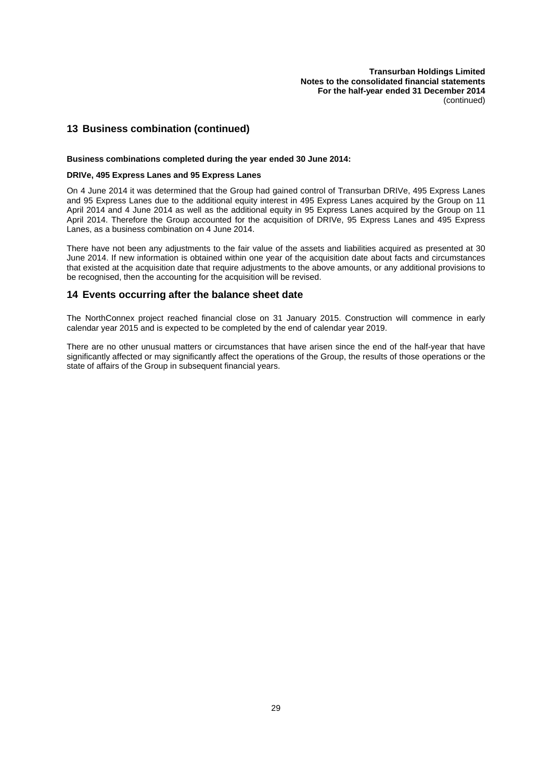## **13 Business combination (continued)**

#### **Business combinations completed during the year ended 30 June 2014:**

#### **DRIVe, 495 Express Lanes and 95 Express Lanes**

On 4 June 2014 it was determined that the Group had gained control of Transurban DRIVe, 495 Express Lanes and 95 Express Lanes due to the additional equity interest in 495 Express Lanes acquired by the Group on 11 April 2014 and 4 June 2014 as well as the additional equity in 95 Express Lanes acquired by the Group on 11 April 2014. Therefore the Group accounted for the acquisition of DRIVe, 95 Express Lanes and 495 Express Lanes, as a business combination on 4 June 2014.

There have not been any adjustments to the fair value of the assets and liabilities acquired as presented at 30 June 2014. If new information is obtained within one year of the acquisition date about facts and circumstances that existed at the acquisition date that require adjustments to the above amounts, or any additional provisions to be recognised, then the accounting for the acquisition will be revised.

## **14 Events occurring after the balance sheet date**

The NorthConnex project reached financial close on 31 January 2015. Construction will commence in early calendar year 2015 and is expected to be completed by the end of calendar year 2019.

There are no other unusual matters or circumstances that have arisen since the end of the half-year that have significantly affected or may significantly affect the operations of the Group, the results of those operations or the state of affairs of the Group in subsequent financial years.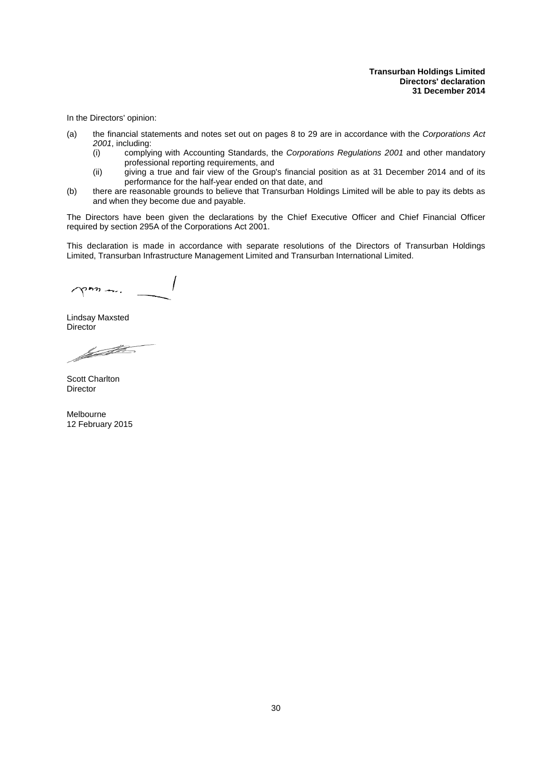<span id="page-35-0"></span>In the Directors' opinion:

- (a) the financial statements and notes set out on pages [8](#page-13-0) to [29](#page-19-0) are in accordance with the *Corporations Act 2001*, including:
	- (i) complying with Accounting Standards, the *Corporations Regulations 2001* and other mandatory professional reporting requirements, and
	- (ii) giving a true and fair view of the Group's financial position as at 31 December 2014 and of its performance for the half-year ended on that date, and
- (b) there are reasonable grounds to believe that Transurban Holdings Limited will be able to pay its debts as and when they become due and payable.

The Directors have been given the declarations by the Chief Executive Officer and Chief Financial Officer required by section 295A of the Corporations Act 2001.

This declaration is made in accordance with separate resolutions of the Directors of Transurban Holdings Limited, Transurban Infrastructure Management Limited and Transurban International Limited.

 $\gamma$ mm

Lindsay Maxsted **Director** 

familien de la Company de la Company de la Company de la Company de la Company de la Company de la Company de<br>La Company de la Company de la Company de la Company de la Company de la Company de la Company de la Company d

Scott Charlton Director

Melbourne 12 February 2015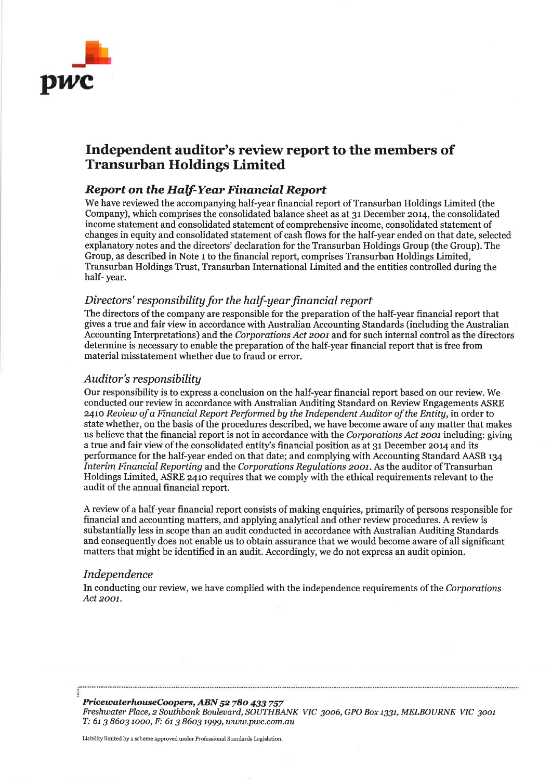

## Independent auditor's review report to the members of **Transurban Holdings Limited**

## **Report on the Half-Year Financial Report**

We have reviewed the accompanying half-year financial report of Transurban Holdings Limited (the Company), which comprises the consolidated balance sheet as at 31 December 2014, the consolidated income statement and consolidated statement of comprehensive income, consolidated statement of changes in equity and consolidated statement of cash flows for the half-year ended on that date, selected explanatory notes and the directors' declaration for the Transurban Holdings Group (the Group). The Group, as described in Note 1 to the financial report, comprises Transurban Holdings Limited, Transurban Holdings Trust, Transurban International Limited and the entities controlled during the half-year.

## Directors' responsibility for the half-year financial report

The directors of the company are responsible for the preparation of the half-year financial report that gives a true and fair view in accordance with Australian Accounting Standards (including the Australian Accounting Interpretations) and the Corporations Act 2001 and for such internal control as the directors determine is necessary to enable the preparation of the half-year financial report that is free from material misstatement whether due to fraud or error.

## Auditor's responsibility

Our responsibility is to express a conclusion on the half-year financial report based on our review. We conducted our review in accordance with Australian Auditing Standard on Review Engagements ASRE 2410 Review of a Financial Report Performed by the Independent Auditor of the Entity, in order to state whether, on the basis of the procedures described, we have become aware of any matter that makes us believe that the financial report is not in accordance with the Corporations Act 2001 including; giving a true and fair view of the consolidated entity's financial position as at 31 December 2014 and its performance for the half-year ended on that date; and complying with Accounting Standard AASB 134 Interim Financial Reporting and the Corporations Regulations 2001. As the auditor of Transurban Holdings Limited, ASRE 2410 requires that we comply with the ethical requirements relevant to the audit of the annual financial report.

A review of a half-year financial report consists of making enquiries, primarily of persons responsible for financial and accounting matters, and applying analytical and other review procedures. A review is substantially less in scope than an audit conducted in accordance with Australian Auditing Standards and consequently does not enable us to obtain assurance that we would become aware of all significant matters that might be identified in an audit. Accordingly, we do not express an audit opinion.

## Independence

In conducting our review, we have complied with the independence requirements of the Corporations Act 2001.

PricewaterhouseCoopers, ABN 52 780 433 757 Freshwater Place, 2 Southbank Boulevard, SOUTHBANK VIC 3006, GPO Box 1331, MELBOURNE VIC 3001 Т: 61 3 8603 1000, F: 61 3 8603 1999, www.pwc.com.au

Liability limited by a scheme approved under Professional Standards Legislation.